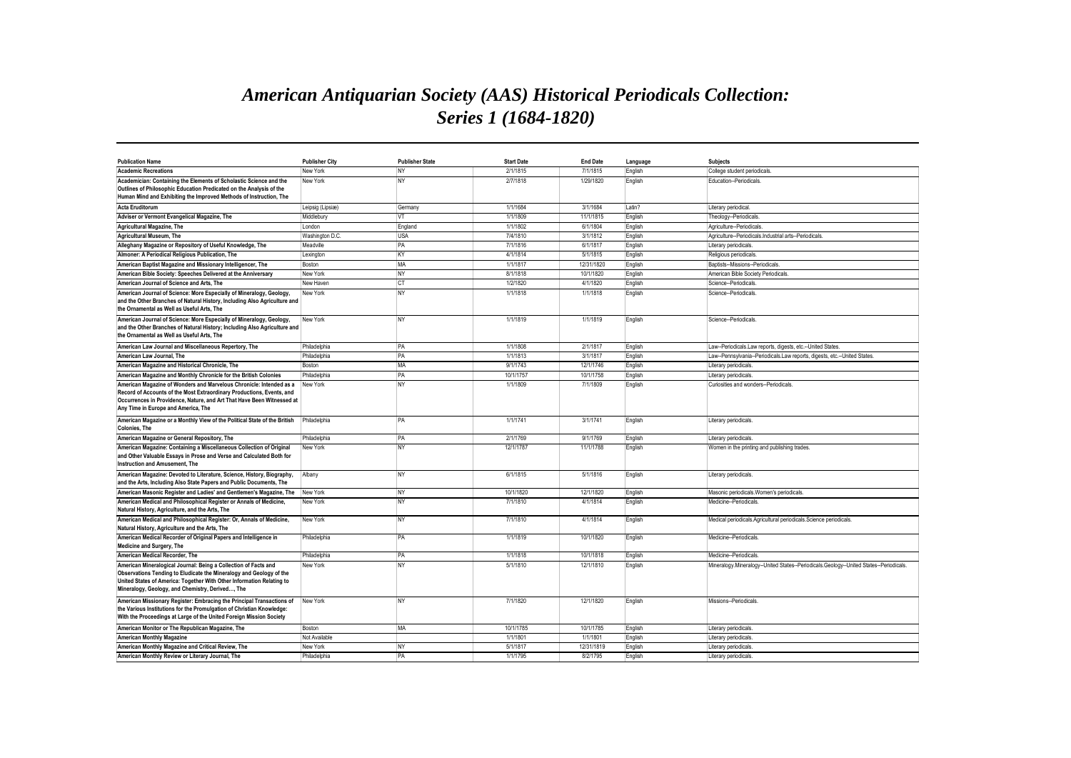## *American Antiquarian Society (AAS) Historical Periodicals Collection: Series 1 (1684-1820)*

| <b>Publication Name</b>                                                                                                                                                                                                                                             | <b>Publisher City</b> | <b>Publisher State</b> | <b>Start Date</b> | <b>End Date</b> | Language | <b>Subjects</b>                                                                       |
|---------------------------------------------------------------------------------------------------------------------------------------------------------------------------------------------------------------------------------------------------------------------|-----------------------|------------------------|-------------------|-----------------|----------|---------------------------------------------------------------------------------------|
| <b>Academic Recreations</b>                                                                                                                                                                                                                                         | New York              | <b>NY</b>              | 2/1/1815          | 7/1/1815        | English  | College student periodicals.                                                          |
| Academician: Containing the Elements of Scholastic Science and the<br>Outlines of Philosophic Education Predicated on the Analysis of the<br>Human Mind and Exhibiting the Improved Methods of Instruction, The                                                     | New York              | <b>NY</b>              | 2/7/1818          | 1/29/1820       | English  | Education--Periodicals                                                                |
| <b>Acta Eruditorum</b>                                                                                                                                                                                                                                              | Leipsig (Lipsiæ)      | Germany                | 1/1/1684          | 3/1/1684        | Latin?   | Literary periodical                                                                   |
| Adviser or Vermont Evangelical Magazine, The                                                                                                                                                                                                                        | Middlebury            | VT                     | 1/1/1809          | 11/1/1815       | English  | Theology--Periodicals                                                                 |
| Agricultural Magazine, The                                                                                                                                                                                                                                          | London                | England                | 1/1/1802          | 6/1/1804        | English  | Agriculture--Periodicals                                                              |
| Agricultural Museum, The                                                                                                                                                                                                                                            | Washington D.C.       | <b>USA</b>             | 7/4/1810          | 3/1/1812        | English  | Agriculture--Periodicals.Industrial arts--Periodicals                                 |
| Alleghany Magazine or Repository of Useful Knowledge, The                                                                                                                                                                                                           | Meadville             | PA                     | 7/1/1816          | 6/1/1817        | English  | Literary periodicals                                                                  |
| Almoner: A Periodical Religious Publication, The                                                                                                                                                                                                                    | Lexington             | KY                     | 4/1/1814          | 5/1/1815        | English  | Religious periodicals.                                                                |
| American Baptist Magazine and Missionary Intelligencer, The                                                                                                                                                                                                         | Boston                | MA                     | 1/1/1817          | 12/31/1820      | English  | Baptists--Missions--Periodicals                                                       |
| American Bible Society: Speeches Delivered at the Anniversary                                                                                                                                                                                                       | New York              | <b>NY</b>              | 8/1/1818          | 10/1/1820       | English  | American Bible Society Periodicals                                                    |
| American Journal of Science and Arts. The                                                                                                                                                                                                                           | New Haven             | CT                     | 1/2/1820          | 4/1/1820        | English  | Science--Periodicals.                                                                 |
| American Journal of Science: More Especially of Mineralogy, Geology,<br>and the Other Branches of Natural History, Including Also Agriculture and<br>the Ornamental as Well as Useful Arts, The                                                                     | New York              | <b>NY</b>              | 1/1/1818          | 1/1/1818        | English  | Science--Periodicals.                                                                 |
| American Journal of Science: More Especially of Mineralogy, Geology,<br>and the Other Branches of Natural History; Including Also Agriculture and<br>the Ornamental as Well as Useful Arts. The                                                                     | New York              | <b>NY</b>              | 1/1/1819          | 1/1/1819        | English  | Science--Periodicals                                                                  |
| American Law Journal and Miscellaneous Repertory, The                                                                                                                                                                                                               | Philadelphia          | PA                     | 1/1/1808          | 2/1/1817        | English  | Law--Periodicals.Law reports, digests, etc.--United States                            |
| American Law Journal, The                                                                                                                                                                                                                                           | Philadelphia          | PA                     | 1/1/1813          | 3/1/1817        | English  | Law--Pennsylvania--Periodicals.Law reports, digests, etc.--United States              |
| American Magazine and Historical Chronicle. The                                                                                                                                                                                                                     | Boston                | MA                     | 9/1/1743          | 12/1/1746       | English  | Literary periodicals                                                                  |
| American Magazine and Monthly Chronicle for the British Colonies                                                                                                                                                                                                    | Philadelphia          | PA                     | 10/1/1757         | 10/1/1758       | English  | Literary periodicals                                                                  |
| American Magazine of Wonders and Marvelous Chronicle: Intended as a<br>Record of Accounts of the Most Extraordinary Productions, Events, and<br>Occurrences in Providence, Nature, and Art That Have Been Witnessed at<br>Any Time in Europe and America, The       | New York              | <b>NY</b>              | 1/1/1809          | 7/1/1809        | English  | Curiosities and wonders--Periodicals.                                                 |
| American Magazine or a Monthly View of the Political State of the British<br><b>Colonies</b> . The                                                                                                                                                                  | Philadelphia          | <b>PA</b>              | 1/1/1741          | 3/1/1741        | English  | Literary periodicals                                                                  |
| American Magazine or General Repository, The                                                                                                                                                                                                                        | Philadelphia          | PA                     | 2/1/1769          | 9/1/1769        | English  | Literary periodicals                                                                  |
| American Magazine: Containing a Miscellaneous Collection of Original<br>and Other Valuable Essays in Prose and Verse and Calculated Both for<br>Instruction and Amusement. The                                                                                      | New York              | NY                     | 12/1/1787         | 11/1/1788       | English  | Women in the printing and publishing trades.                                          |
| American Magazine: Devoted to Literature, Science, History, Biography,<br>and the Arts, Including Also State Papers and Public Documents, The                                                                                                                       | Albany                | <b>NY</b>              | 6/1/1815          | 5/1/1816        | English  | Literary periodicals                                                                  |
| American Masonic Register and Ladies' and Gentlemen's Magazine, The                                                                                                                                                                                                 | New York              | NY                     | 10/1/1820         | 12/1/1820       | English  | Masonic periodicals. Women's periodicals.                                             |
| American Medical and Philosophical Register or Annals of Medicine.<br>Natural History, Agriculture, and the Arts, The                                                                                                                                               | New York              | <b>NY</b>              | 7/1/1810          | 4/1/1814        | English  | Medicine--Periodicals                                                                 |
| American Medical and Philosophical Register: Or, Annals of Medicine,<br>Natural History, Agriculture and the Arts, The                                                                                                                                              | New York              | <b>NY</b>              | 7/1/1810          | 4/1/1814        | English  | Medical periodicals.Agricultural periodicals.Science periodicals.                     |
| American Medical Recorder of Original Papers and Intelligence in<br>Medicine and Surgery, The                                                                                                                                                                       | Philadelphia          | <b>PA</b>              | 1/1/1819          | 10/1/1820       | English  | Medicine--Periodicals.                                                                |
| American Medical Recorder, The                                                                                                                                                                                                                                      | Philadelphia          | PA                     | 1/1/1818          | 10/1/1818       | English  | Medicine--Periodicals.                                                                |
| American Mineralogical Journal: Being a Collection of Facts and<br>Observations Tending to Eludicate the Mineralogy and Geology of the<br>United States of America: Together With Other Information Relating to<br>Mineralogy, Geology, and Chemistry, Derived, The | New York              | <b>NY</b>              | 5/1/1810          | 12/1/1810       | English  | Mineralogy.Mineralogy--United States--Periodicals.Geology--United States--Periodicals |
| American Missionary Register: Embracing the Principal Transactions of<br>the Various Institutions for the Promulgation of Christian Knowledge:<br>With the Proceedings at Large of the United Foreign Mission Society                                               | New York              | NY                     | 7/1/1820          | 12/1/1820       | English  | Missions--Periodicals                                                                 |
| American Monitor or The Republican Magazine, The                                                                                                                                                                                                                    | Boston                | MA                     | 10/1/1785         | 10/1/1785       | English  | Literary periodicals                                                                  |
| <b>American Monthly Magazine</b>                                                                                                                                                                                                                                    | Not Available         |                        | 1/1/1801          | 1/1/1801        | English  | Literary periodicals                                                                  |
| American Monthly Magazine and Critical Review, The                                                                                                                                                                                                                  | New York              | <b>NY</b>              | 5/1/1817          | 12/31/1819      | English  | Literary periodicals                                                                  |
| American Monthly Review or Literary Journal, The                                                                                                                                                                                                                    | Philadelphia          | PA                     | 1/1/1795          | 8/2/1795        | English  | Literary periodicals.                                                                 |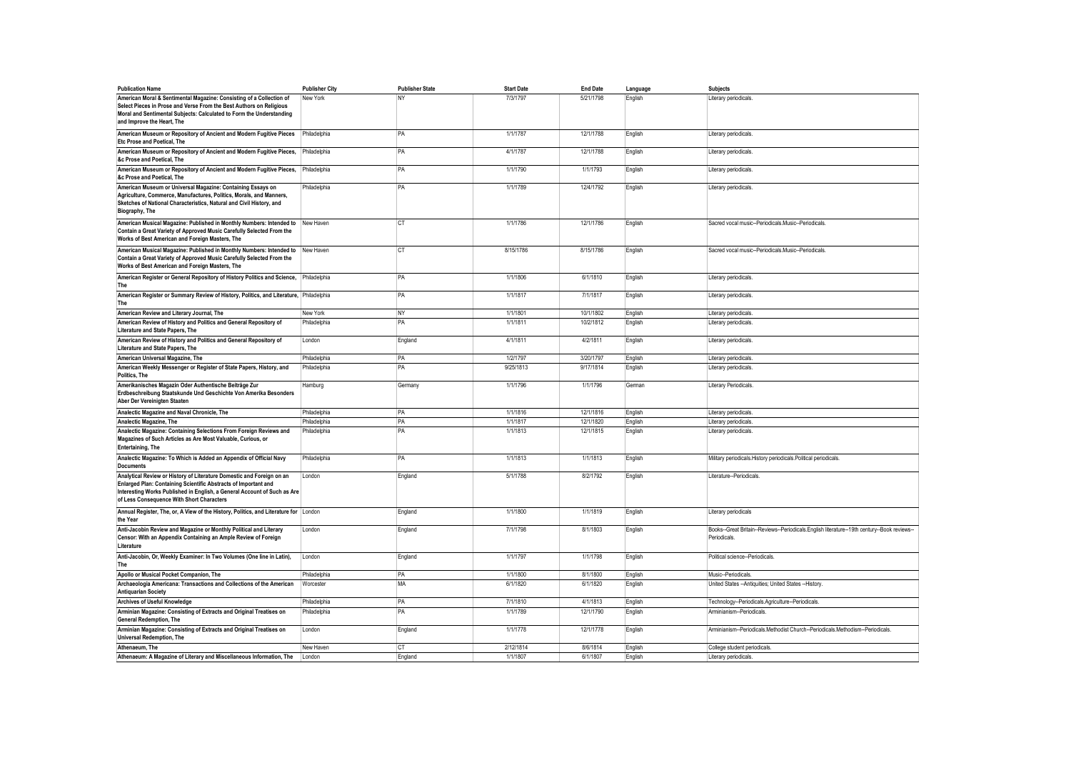| <b>Publication Name</b>                                                                                                                                                                                                                                           | <b>Publisher City</b> | <b>Publisher State</b> | <b>Start Date</b> | <b>End Date</b> | Language | <b>Subjects</b>                                                                                             |
|-------------------------------------------------------------------------------------------------------------------------------------------------------------------------------------------------------------------------------------------------------------------|-----------------------|------------------------|-------------------|-----------------|----------|-------------------------------------------------------------------------------------------------------------|
| American Moral & Sentimental Magazine: Consisting of a Collection of<br>Select Pieces in Prose and Verse From the Best Authors on Religious<br>Moral and Sentimental Subjects: Calculated to Form the Understanding<br>and Improve the Heart. The                 | New York              | NY                     | 7/3/1797          | 5/21/1798       | English  | Literary periodicals                                                                                        |
| American Museum or Repository of Ancient and Modern Fugitive Pieces<br>Etc Prose and Poetical, The                                                                                                                                                                | Philadelphia          | PA                     | 1/1/1787          | 12/1/1788       | English  | Literary periodicals.                                                                                       |
| American Museum or Repository of Ancient and Modern Fugitive Pieces,<br>&c Prose and Poetical, The                                                                                                                                                                | Philadelphia          | PA                     | 4/1/1787          | 12/1/1788       | English  | Literary periodicals.                                                                                       |
| American Museum or Repository of Ancient and Modern Fugitive Pieces,<br>&c Prose and Poetical, The                                                                                                                                                                | Philadelphia          | PA                     | 1/1/1790          | 1/1/1793        | English  | Literary periodicals.                                                                                       |
| American Museum or Universal Magazine: Containing Essays on<br>Agriculture, Commerce, Manufactures, Politics, Morals, and Manners,<br>Sketches of National Characteristics, Natural and Civil History, and<br>Biography, The                                      | Philadelphia          | PA                     | 1/1/1789          | 12/4/1792       | English  | Literary periodicals.                                                                                       |
| American Musical Magazine: Published in Monthly Numbers: Intended to New Haven<br>Contain a Great Variety of Approved Music Carefully Selected From the<br>Works of Best American and Foreign Masters, The                                                        |                       | <b>CT</b>              | 1/1/1786          | 12/1/1786       | English  | Sacred vocal music--Periodicals.Music--Periodicals.                                                         |
| American Musical Magazine: Published in Monthly Numbers: Intended to<br>Contain a Great Variety of Approved Music Carefully Selected From the<br>Works of Best American and Foreign Masters, The                                                                  | New Haven             | <b>CT</b>              | 8/15/1786         | 8/15/1786       | English  | Sacred vocal music--Periodicals.Music--Periodicals.                                                         |
| American Register or General Repository of History Politics and Science, Philadelphia<br>The                                                                                                                                                                      |                       | PA                     | 1/1/1806          | 6/1/1810        | English  | Literary periodicals.                                                                                       |
| American Register or Summary Review of History, Politics, and Literature, Philadelphia<br>The                                                                                                                                                                     |                       | PA                     | 1/1/1817          | 7/1/1817        | English  | Literary periodicals.                                                                                       |
| American Review and Literary Journal, The                                                                                                                                                                                                                         | New York              | NY                     | 1/1/1801          | 10/1/1802       | English  | Literary periodicals.                                                                                       |
| American Review of History and Politics and General Repository of<br>Literature and State Papers. The                                                                                                                                                             | Philadelphia          | PA                     | 1/1/1811          | 10/2/1812       | English  | Literary periodicals.                                                                                       |
| American Review of History and Politics and General Repository of<br>Literature and State Papers, The                                                                                                                                                             | London                | England                | 4/1/1811          | 4/2/1811        | English  | Literary periodicals                                                                                        |
| American Universal Magazine, The                                                                                                                                                                                                                                  | Philadelphia          | PA                     | 1/2/1797          | 3/20/1797       | English  | Literary periodicals                                                                                        |
| American Weekly Messenger or Register of State Papers, History, and<br>Politics, The                                                                                                                                                                              | Philadelphia          | PA                     | 9/25/1813         | 9/17/1814       | English  | Literary periodicals.                                                                                       |
| Amerikanisches Magazin Oder Authentische Beiträge Zur<br>Erdbeschreibung Staatskunde Und Geschichte Von Amerika Besonders<br>Aber Der Vereinigten Staaten                                                                                                         | Hamburg               | Germany                | 1/1/1796          | 1/1/1796        | German   | <b>Literary Periodicals</b>                                                                                 |
| Analectic Magazine and Naval Chronicle, The                                                                                                                                                                                                                       | Philadelphia          | PA                     | 1/1/1816          | 12/1/1816       | English  | Literary periodicals                                                                                        |
| Analectic Magazine, The                                                                                                                                                                                                                                           | Philadelphia          | PA                     | 1/1/1817          | 12/1/1820       | English  | Literary periodicals                                                                                        |
| Analectic Magazine: Containing Selections From Foreign Reviews and<br>Magazines of Such Articles as Are Most Valuable, Curious, or<br>Entertaining, The                                                                                                           | Philadelphia          | PA                     | 1/1/1813          | 12/1/1815       | English  | Literary periodicals.                                                                                       |
| Analectic Magazine: To Which is Added an Appendix of Official Navy<br><b>Documents</b>                                                                                                                                                                            | Philadelphia          | PA                     | 1/1/1813          | 1/1/1813        | English  | Military periodicals. History periodicals. Political periodicals.                                           |
| Analytical Review or History of Literature Domestic and Foreign on an<br>Enlarged Plan: Containing Scientific Abstracts of Important and<br>Interesting Works Published in English, a General Account of Such as Are<br>of Less Consequence With Short Characters | London                | England                | 5/1/1788          | 8/2/1792        | English  | Literature--Periodicals                                                                                     |
| Annual Register, The, or, A View of the History, Politics, and Literature for London<br>the Year                                                                                                                                                                  |                       | England                | 1/1/1800          | 1/1/1819        | English  | Literary periodicals                                                                                        |
| Anti-Jacobin Review and Magazine or Monthly Political and Literary<br>Censor: With an Appendix Containing an Ample Review of Foreign<br>Literature                                                                                                                | London                | England                | 7/1/1798          | 8/1/1803        | English  | Books--Great Britain--Reviews--Periodicals.English literature--19th century--Book reviews--<br>Periodicals. |
| Anti-Jacobin, Or, Weekly Examiner: In Two Volumes (One line in Latin),<br>The                                                                                                                                                                                     | London                | England                | 1/1/1797          | 1/1/1798        | English  | Political science--Periodicals.                                                                             |
| Apollo or Musical Pocket Companion, The                                                                                                                                                                                                                           | Philadelphia          | PA                     | 1/1/1800          | 8/1/1800        | English  | Music-Periodicals.                                                                                          |
| Archaeologia Americana: Transactions and Collections of the American<br><b>Antiquarian Society</b>                                                                                                                                                                | Worcester             | MA                     | 6/1/1820          | 6/1/1820        | English  | United States -- Antiquities; United States -- History.                                                     |
| Archives of Useful Knowledge                                                                                                                                                                                                                                      | Philadelphia          | PA                     | 7/1/1810          | 4/1/1813        | English  | Technology--Periodicals.Agriculture--Periodicals.                                                           |
| Arminian Magazine: Consisting of Extracts and Original Treatises on<br><b>General Redemption, The</b>                                                                                                                                                             | Philadelphia          | PA                     | 1/1/1789          | 12/1/1790       | English  | Arminianism--Periodicals.                                                                                   |
| Arminian Magazine: Consisting of Extracts and Original Treatises on<br><b>Universal Redemption, The</b>                                                                                                                                                           | London                | England                | 1/1/1778          | 12/1/1778       | English  | Arminianism--Periodicals.Methodist Church--Periodicals.Methodism--Periodicals                               |
| Athenaeum. The                                                                                                                                                                                                                                                    | New Haven             | CT                     | 2/12/1814         | 8/6/1814        | English  | College student periodicals                                                                                 |
| Athenaeum: A Magazine of Literary and Miscellaneous Information, The                                                                                                                                                                                              | London                | England                | 1/1/1807          | 6/1/1807        | English  | Literary periodicals                                                                                        |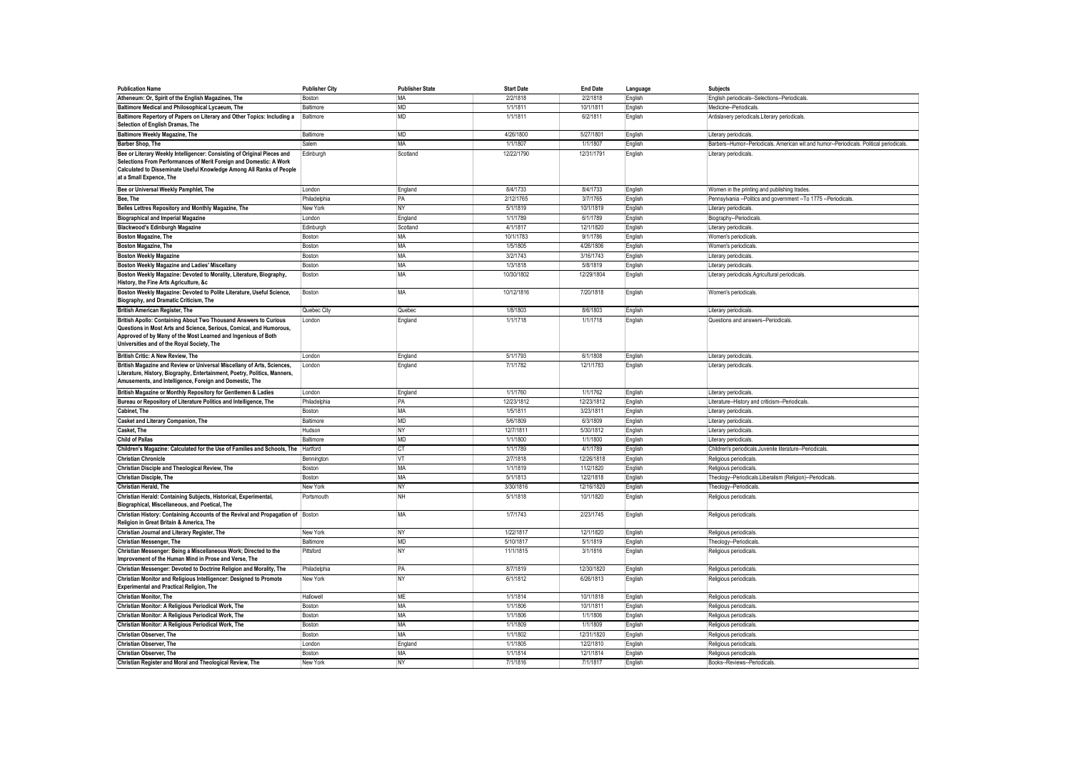| <b>Publication Name</b>                                                                                                                                                                                                                                | <b>Publisher City</b> | <b>Publisher State</b> | <b>Start Date</b> | <b>End Date</b> | Language | <b>Subjects</b>                                                                         |
|--------------------------------------------------------------------------------------------------------------------------------------------------------------------------------------------------------------------------------------------------------|-----------------------|------------------------|-------------------|-----------------|----------|-----------------------------------------------------------------------------------------|
| Atheneum: Or. Spirit of the English Magazines. The                                                                                                                                                                                                     | Boston                | MA                     | 2/2/1818          | 2/2/1818        | English  | English periodicals--Selections--Periodicals                                            |
| Baltimore Medical and Philosophical Lycaeum, The                                                                                                                                                                                                       | Baltimore             | <b>MD</b>              | 1/1/1811          | 10/1/1811       | English  | Medicine--Periodicals                                                                   |
| Baltimore Repertory of Papers on Literary and Other Topics: Including a<br>Selection of English Dramas, The                                                                                                                                            | Baltimore             | <b>MD</b>              | 1/1/1811          | 6/2/1811        | English  | Antislavery periodicals.Literary periodicals                                            |
| Baltimore Weekly Magazine, The                                                                                                                                                                                                                         | Baltimore             | <b>MD</b>              | 4/26/1800         | 5/27/1801       | English  | Literary periodicals.                                                                   |
| <b>Barber Shop, The</b>                                                                                                                                                                                                                                | Salem                 | MA                     | 1/1/1807          | 1/1/1807        | English  | Barbers--Humor--Periodicals. American wit and humor--Periodicals. Political periodicals |
| Bee or Literary Weekly Intelligencer: Consisting of Original Pieces and<br>Selections From Performances of Merit Foreign and Domestic: A Work<br>Calculated to Disseminate Useful Knowledge Among All Ranks of People<br>at a Small Expence, The       | Edinburgh             | Scotland               | 12/22/1790        | 12/31/1791      | English  | Literary periodicals.                                                                   |
| Bee or Universal Weekly Pamphlet, The                                                                                                                                                                                                                  | London                | England                | 8/4/1733          | 8/4/1733        | English  | Women in the printing and publishing trades.                                            |
| Bee, The                                                                                                                                                                                                                                               | Philadelphia          | PA                     | 2/12/1765         | 3/7/1765        | English  | Pennsylvania -- Politics and government -- To 1775 -- Periodicals                       |
| Belles Lettres Repository and Monthly Magazine, The                                                                                                                                                                                                    | New York              | NY                     | 5/1/1819          | 10/1/1819       | English  | Literary periodicals.                                                                   |
| <b>Biographical and Imperial Magazine</b>                                                                                                                                                                                                              | London                | England                | 1/1/1789          | 6/1/1789        | English  | Biography--Periodicals                                                                  |
| Blackwood's Edinburgh Magazine                                                                                                                                                                                                                         | Edinburgh             | Scotland               | 4/1/1817          | 12/1/1820       | English  | Literary periodicals.                                                                   |
| Boston Magazine, The                                                                                                                                                                                                                                   | Boston                | MA                     | 10/1/1783         | 9/1/1786        | English  | Women's periodicals                                                                     |
| <b>Boston Magazine, The</b>                                                                                                                                                                                                                            | <b>Boston</b>         | MA                     | 1/5/1805          | 4/26/1806       | English  | Women's periodicals                                                                     |
| <b>Boston Weekly Magazine</b>                                                                                                                                                                                                                          | Boston                | MA                     | 3/2/1743          | 3/16/1743       | English  | Literary periodicals                                                                    |
| Boston Weekly Magazine and Ladies' Miscellany                                                                                                                                                                                                          | Boston                | MA                     | 1/3/1818          | 5/8/1819        | English  | Literary periodicals.                                                                   |
| Boston Weekly Magazine: Devoted to Morality, Literature, Biography,<br>History, the Fine Arts Agriculture, &c                                                                                                                                          | Boston                | <b>MA</b>              | 10/30/1802        | 12/29/1804      | English  | Literary periodicals.Agricultural periodicals                                           |
| Boston Weekly Magazine: Devoted to Polite Literature, Useful Science,<br>Biography, and Dramatic Criticism, The                                                                                                                                        | Boston                | <b>MA</b>              | 10/12/1816        | 7/20/1818       | English  | Women's periodicals                                                                     |
| <b>British American Register, The</b>                                                                                                                                                                                                                  | Quebec City           | Quebec                 | 1/8/1803          | 8/6/1803        | English  | Literary periodicals                                                                    |
| British Apollo: Containing About Two Thousand Answers to Curious<br>Questions in Most Arts and Science, Serious, Comical, and Humorous,<br>Approved of by Many of the Most Learned and Ingenious of Both<br>Universities and of the Royal Society, The | London                | England                | 1/1/1718          | 1/1/1718        | English  | Questions and answers--Periodicals                                                      |
| British Critic: A New Review, The                                                                                                                                                                                                                      | London                | England                | 5/1/1793          | 6/1/1808        | English  | Literary periodicals                                                                    |
| British Magazine and Review or Universal Miscellany of Arts, Sciences,<br>Literature, History, Biography, Entertainment, Poetry, Politics, Manners,<br>Amusements, and Intelligence, Foreign and Domestic, The                                         | London                | England                | 7/1/1782          | 12/1/1783       | English  | Literary periodicals                                                                    |
| British Magazine or Monthly Repository for Gentlemen & Ladies                                                                                                                                                                                          | London                | England                | 1/1/1760          | 1/1/1762        | English  | Literary periodicals                                                                    |
| Bureau or Repository of Literature Politics and Intelligence, The                                                                                                                                                                                      | Philadelphia          | PA                     | 12/23/1812        | 12/23/1812      | English  | Literature--History and criticism--Periodicals.                                         |
| Cabinet. The                                                                                                                                                                                                                                           | Roston                | MA                     | 1/5/1811          | 3/23/1811       | English  | Literary periodicals                                                                    |
| Casket and Literary Companion, The                                                                                                                                                                                                                     | Baltimore             | <b>MD</b>              | 5/6/1809          | 6/3/1809        | English  | Literary periodicals                                                                    |
| Casket. The                                                                                                                                                                                                                                            | Hudson                | <b>NY</b>              | 12/7/1811         | 5/30/1812       | English  | Literary periodicals.                                                                   |
| <b>Child of Pallas</b>                                                                                                                                                                                                                                 | Baltimore             | MD                     | 1/1/1800          | 1/1/1800        | English  | Literary periodicals.                                                                   |
| Children's Magazine: Calculated for the Use of Families and Schools, The Hartford                                                                                                                                                                      |                       | CT                     | 1/1/1789          | 4/1/1789        | English  | Children's periodicals.Juvenile literature--Periodicals                                 |
| <b>Christian Chronicle</b>                                                                                                                                                                                                                             | Bennington            | <b>VT</b>              | 2/7/1818          | 12/26/1818      | English  | Religious periodicals                                                                   |
| Christian Disciple and Theological Review, The                                                                                                                                                                                                         | <b>Bostor</b>         | MA                     | 1/1/1819          | 11/2/1820       | English  | Religious periodicals                                                                   |
| <b>Christian Disciple, The</b>                                                                                                                                                                                                                         | Boston                | MA                     | 5/1/1813          | 12/2/1818       | English  | Theology--Periodicals.Liberalism (Religion)--Periodicals                                |
| <b>Christian Herald, The</b>                                                                                                                                                                                                                           | New York              | N <sub>Y</sub>         | 3/30/1816         | 12/16/1820      | English  | Theology--Periodicals                                                                   |
| Christian Herald: Containing Subjects, Historical, Experimental,                                                                                                                                                                                       | Portsmouth            | NH                     | 5/1/1818          | 10/1/1820       | English  | Religious periodicals.                                                                  |
| Biographical, Miscellaneous, and Poetical, The<br>Christian History: Containing Accounts of the Revival and Propagation of Boston                                                                                                                      |                       | MA                     | 1/7/1743          | 2/23/1745       | English  | Religious periodicals.                                                                  |
| Religion in Great Britain & America, The                                                                                                                                                                                                               |                       |                        |                   |                 |          |                                                                                         |
| Christian Journal and Literary Register, The                                                                                                                                                                                                           | New York              | <b>NY</b>              | 1/22/1817         | 12/1/1820       | English  | Religious periodicals                                                                   |
| Christian Messenger, The                                                                                                                                                                                                                               | Baltimore             | <b>MD</b>              | 5/10/1817         | 5/1/1819        | English  | Theology--Periodicals                                                                   |
| Christian Messenger: Being a Miscellaneous Work; Directed to the<br>Improvement of the Human Mind in Prose and Verse, The                                                                                                                              | Pittsford             | <b>NY</b>              | 11/1/1815         | 3/1/1816        | English  | Religious periodicals.                                                                  |
| Christian Messenger: Devoted to Doctrine Religion and Morality, The                                                                                                                                                                                    | Philadelphia          | PA                     | 8/7/1819          | 12/30/1820      | English  | Religious periodicals                                                                   |
| Christian Monitor and Religious Intelligencer: Designed to Promote<br><b>Experimental and Practical Religion, The</b>                                                                                                                                  | New York              | <b>NY</b>              | 6/1/1812          | 6/26/1813       | English  | Religious periodicals.                                                                  |
| <b>Christian Monitor, The</b>                                                                                                                                                                                                                          | Hallowell             | ME                     | 1/1/1814          | 10/1/1818       | English  | Religious periodicals                                                                   |
| Christian Monitor: A Religious Periodical Work, The                                                                                                                                                                                                    | Boston                | MA                     | 1/1/1806          | 10/1/1811       | English  | Religious periodicals                                                                   |
| Christian Monitor: A Religious Periodical Work, The                                                                                                                                                                                                    | Boston                | MA                     | 1/1/1806          | 1/1/1806        | English  | Religious periodicals                                                                   |
| Christian Monitor: A Religious Periodical Work, The                                                                                                                                                                                                    | Boston                | <b>MA</b>              | 1/1/1809          | 1/1/1809        | English  | Religious periodicals                                                                   |
| <b>Christian Observer. The</b>                                                                                                                                                                                                                         | Boston                | <b>MA</b>              | 1/1/1802          | 12/31/1820      | English  | Religious periodicals.                                                                  |
| <b>Christian Observer. The</b>                                                                                                                                                                                                                         | London                | England                | 1/1/1805          | 12/2/1810       | English  | Religious periodicals                                                                   |
| Christian Observer, The                                                                                                                                                                                                                                | Boston                | MA                     | 1/1/1814          | 12/1/1814       | English  | Religious periodicals.                                                                  |
| Christian Register and Moral and Theological Review, The                                                                                                                                                                                               | New York              | <b>NY</b>              | 7/1/1816          | 7/1/1817        | English  | Books--Reviews--Periodicals                                                             |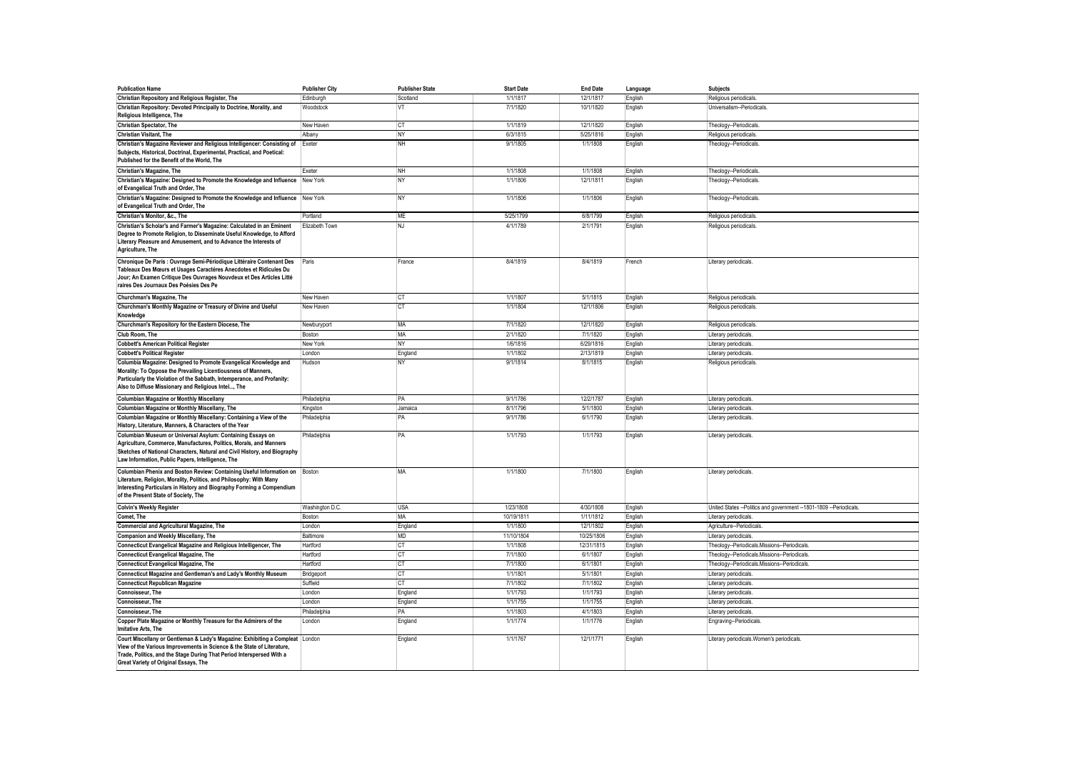| <b>Publication Name</b>                                                                                                                                                                                                                                                   | <b>Publisher City</b>     | <b>Publisher State</b> | <b>Start Date</b>     | <b>End Date</b>       | Language           | <b>Subjects</b>                                                                               |
|---------------------------------------------------------------------------------------------------------------------------------------------------------------------------------------------------------------------------------------------------------------------------|---------------------------|------------------------|-----------------------|-----------------------|--------------------|-----------------------------------------------------------------------------------------------|
| Christian Repository and Religious Register, The                                                                                                                                                                                                                          | Edinburgh                 | Scotland               | 1/1/1817              | 12/1/1817             | English            | Religious periodicals                                                                         |
| Christian Repository: Devoted Principally to Doctrine, Morality, and<br>Religious Intelligence, The                                                                                                                                                                       | Woodstock                 | VT                     | 7/1/1820              | 10/1/1820             | English            | Universalism--Periodicals.                                                                    |
| <b>Christian Spectator, The</b>                                                                                                                                                                                                                                           | New Haven                 | <b>CT</b>              | 1/1/1819              | 12/1/1820             | English            | Theology--Periodicals.                                                                        |
| Christian Visitant, The                                                                                                                                                                                                                                                   | Albany                    | <b>NY</b>              | 6/3/1815              | 5/25/1816             | English            | Religious periodicals                                                                         |
| Christian's Magazine Reviewer and Religious Intelligencer: Consisting of Exeter<br>Subjects, Historical, Doctrinal, Experimental, Practical, and Poetical:<br>Published for the Benefit of the World, The                                                                 |                           | <b>NH</b>              | 9/1/1805              | 1/1/1808              | English            | Theology--Periodicals.                                                                        |
| Christian's Magazine, The                                                                                                                                                                                                                                                 | Fyeter                    | NH                     | 1/1/1808              | 1/1/1808              | English            | Theology--Periodicals                                                                         |
| Christian's Magazine: Designed to Promote the Knowledge and Influence<br>of Evangelical Truth and Order, The                                                                                                                                                              | New York                  | <b>NY</b>              | 1/1/1806              | 12/1/1811             | English            | Theology--Periodicals.                                                                        |
| Christian's Magazine: Designed to Promote the Knowledge and Influence New York<br>of Evangelical Truth and Order, The                                                                                                                                                     |                           | <b>NY</b>              | 1/1/1806              | 1/1/1806              | English            | Theology--Periodicals.                                                                        |
| Christian's Monitor, &c., The                                                                                                                                                                                                                                             | Portland                  | ME                     | 5/25/1799             | 6/8/1799              | English            | Religious periodicals                                                                         |
| Christian's Scholar's and Farmer's Magazine: Calculated in an Eminent<br>Degree to Promote Religion, to Disseminate Useful Knowledge, to Afford<br>Literary Pleasure and Amusement, and to Advance the Interests of<br>Agriculture, The                                   | Elizabeth Town            | <b>NJ</b>              | 4/1/1789              | 2/1/1791              | English            | Religious periodicals                                                                         |
| Chronique De Paris : Ouvrage Semi-Périodique Littéraire Contenant Des<br>Tableaux Des Mœurs et Usages Caractéres Anecdotes et Ridicules Du<br>Jour; An Examen Critique Des Ouvrages Nouvdeux et Des Articles Litté<br>raires Des Journaux Des Poésies Des Pe              | Paris                     | France                 | 8/4/1819              | 8/4/1819              | French             | Literary periodicals.                                                                         |
| Churchman's Magazine. The                                                                                                                                                                                                                                                 | New Haven                 | <b>CT</b>              | 1/1/1807              | 5/1/1815              | English            | Religious periodicals                                                                         |
| Churchman's Monthly Magazine or Treasury of Divine and Useful<br>Knowledge                                                                                                                                                                                                | New Haven                 | <b>CT</b>              | 1/1/1804              | 12/1/1806             | English            | Religious periodicals                                                                         |
| Churchman's Repository for the Eastern Diocese, The                                                                                                                                                                                                                       | Newburyport               | MA                     | 7/1/1820              | 12/1/1820             | English            | Religious periodicals                                                                         |
| Club Room. The                                                                                                                                                                                                                                                            | Boston                    | MA                     | 2/1/1820              | 7/1/1820              | English            | Literary periodicals                                                                          |
| <b>Cobbett's American Political Register</b>                                                                                                                                                                                                                              | New York                  | <b>NY</b>              | 1/6/1816              | 6/29/1816             | English            | Literary periodicals.                                                                         |
| <b>Cobbett's Political Register</b>                                                                                                                                                                                                                                       | London                    | England                | 1/1/1802              | 2/13/1819             | English            | Literary periodicals                                                                          |
| Columbia Magazine: Designed to Promote Evangelical Knowledge and<br>Morality: To Oppose the Prevailing Licentiousness of Manners,<br>Particularly the Violation of the Sabbath, Intemperance, and Profanity:<br>Also to Diffuse Missionary and Religious Intel, The       | Hudson                    | <b>NY</b>              | 9/1/1814              | 8/1/1815              | English            | Religious periodicals                                                                         |
| <b>Columbian Magazine or Monthly Miscellany</b>                                                                                                                                                                                                                           | Philadelphia              | PA                     | 9/1/1786              | 12/2/1787             | English            | Literary periodicals.                                                                         |
| Columbian Magazine or Monthly Miscellany, The                                                                                                                                                                                                                             | Kingston                  | Jamaica                | 8/1/1796              | 5/1/1800              | English            | Literary periodicals                                                                          |
| Columbian Magazine or Monthly Miscellany: Containing a View of the<br>History, Literature, Manners, & Characters of the Year                                                                                                                                              | Philadelphia              | PA                     | 9/1/1786              | 6/1/1790              | English            | Literary periodicals.                                                                         |
| Columbian Museum or Universal Asylum: Containing Essays on<br>Agriculture, Commerce, Manufactures, Politics, Morals, and Manners<br>Sketches of National Characters, Natural and Civil History, and Biography<br>Law Information, Public Papers, Intelligence, The        | Philadelphia              | PA                     | 1/1/1793              | 1/1/1793              | English            | Literary periodicals.                                                                         |
| Columbian Phenix and Boston Review: Containing Useful Information on Boston<br>Literature, Religion, Morality, Politics, and Philosophy: With Many<br>Interesting Particulars in History and Biography Forming a Compendium<br>of the Present State of Society, The       |                           | MA                     | 1/1/1800<br>1/23/1808 | 7/1/1800<br>4/30/1808 | English            | Literary periodicals.                                                                         |
| <b>Colvin's Weekly Register</b><br>Comet. The                                                                                                                                                                                                                             | Washington D.C.<br>Boston | <b>USA</b><br>MA       | 10/19/1811            | 1/11/1812             | English            | United States -- Politics and government -- 1801-1809 -- Periodicals.<br>Literary periodicals |
| <b>Commercial and Agricultural Magazine, The</b>                                                                                                                                                                                                                          |                           |                        | 1/1/1800              | 12/1/1802             | English            | Agriculture--Periodicals.                                                                     |
| Companion and Weekly Miscellany, The                                                                                                                                                                                                                                      | London<br>Baltimore       | England<br>MD          | 11/10/1804            | 10/25/1806            | English<br>English | Literary periodicals                                                                          |
| Connecticut Evangelical Magazine and Religious Intelligencer, The                                                                                                                                                                                                         | Hartford                  | CT                     | 1/1/1808              | 12/31/1815            | English            | Theology--Periodicals.Missions--Periodicals                                                   |
| <b>Connecticut Evangelical Magazine, The</b>                                                                                                                                                                                                                              | Hartford                  | <b>CT</b>              | 7/1/1800              | 6/1/1807              | English            | Theology--Periodicals.Missions--Periodicals                                                   |
| <b>Connecticut Evangelical Magazine, The</b>                                                                                                                                                                                                                              | Hartford                  | CT                     | 7/1/1800              | 6/1/1801              | English            | Theology--Periodicals.Missions--Periodicals.                                                  |
| Connecticut Magazine and Gentleman's and Lady's Monthly Museum                                                                                                                                                                                                            | Bridgeport                | <b>CT</b>              | 1/1/1801              | 5/1/1801              | English            | Literary periodicals                                                                          |
| <b>Connecticut Republican Magazine</b>                                                                                                                                                                                                                                    | Suffield                  | <b>CT</b>              | 7/1/1802              | 7/1/1802              | English            | Literary periodicals                                                                          |
| Connoisseur. The                                                                                                                                                                                                                                                          | London                    | England                | 1/1/1793              | 1/1/1793              | English            | Literary periodicals                                                                          |
| Connoisseur, The                                                                                                                                                                                                                                                          | London                    | England                | 1/1/1755              | 1/1/1755              | English            | Literary periodicals                                                                          |
| Connoisseur. The                                                                                                                                                                                                                                                          | Philadelphia              | PA                     | 1/1/1803              | 4/1/1803              | English            | Literary periodicals                                                                          |
| Copper Plate Magazine or Monthly Treasure for the Admirers of the<br>Imitative Arts, The                                                                                                                                                                                  | London                    | England                | 1/1/1774              | 1/1/1776              | English            | Engraving--Periodicals                                                                        |
| Court Miscellany or Gentleman & Lady's Magazine: Exhibiting a Compleat London<br>View of the Various Improvements in Science & the State of Literature,<br>Trade, Politics, and the Stage During That Period Interspersed With a<br>Great Variety of Original Essays, The |                           | England                | 1/1/1767              | 12/1/1771             | English            | Literary periodicals. Women's periodicals.                                                    |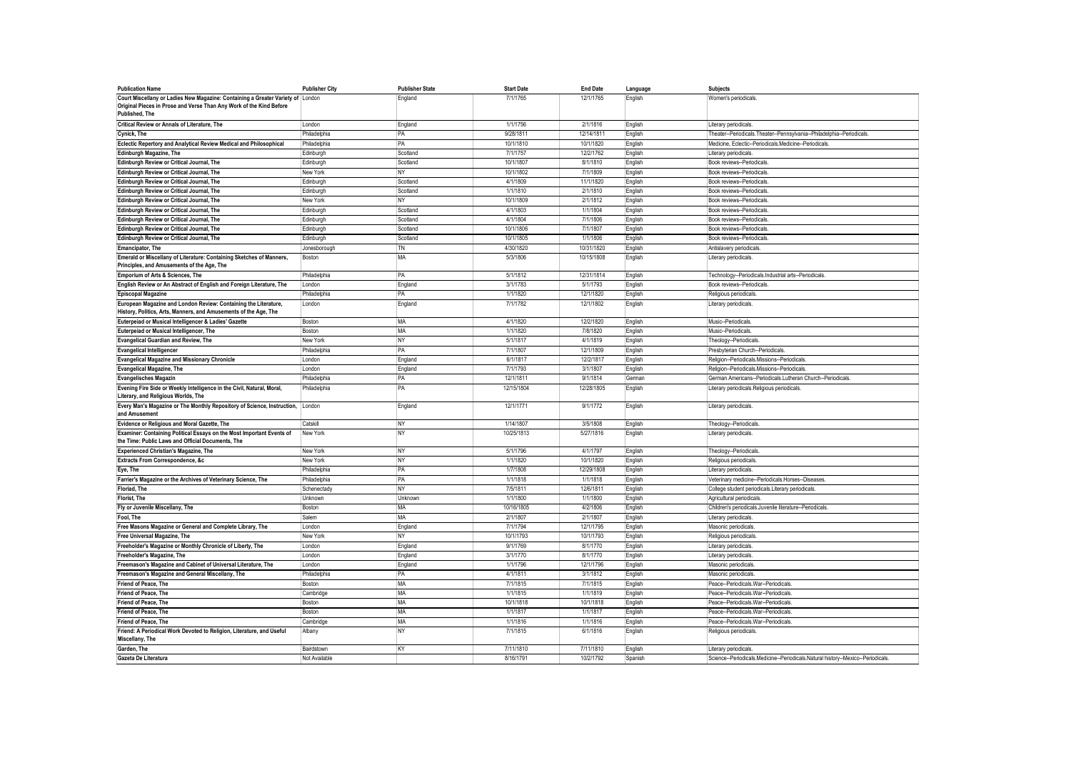| <b>Publication Name</b>                                                                                                                                                    | <b>Publisher City</b>   | <b>Publisher State</b> | <b>Start Date</b> | <b>End Date</b>        | Language           | Subjects                                                                           |
|----------------------------------------------------------------------------------------------------------------------------------------------------------------------------|-------------------------|------------------------|-------------------|------------------------|--------------------|------------------------------------------------------------------------------------|
| Court Miscellany or Ladies New Magazine: Containing a Greater Variety of   London<br>Original Pieces in Prose and Verse Than Any Work of the Kind Before<br>Published, The |                         | England                | 7/1/1765          | 12/1/1765              | English            | Women's periodicals                                                                |
| <b>Critical Review or Annals of Literature, The</b>                                                                                                                        | London                  | England                | 1/1/1756          | 2/1/1816               | English            | Literary periodicals                                                               |
| Cynick, The                                                                                                                                                                | Philadelphia            | PA                     | 9/28/1811         | 12/14/1811             | English            | Theater--Periodicals.Theater--Pennsylvania--Philadelphia--Periodicals.             |
| Eclectic Repertory and Analytical Review Medical and Philosophical                                                                                                         | Philadelphia            | <b>PA</b>              | 10/1/1810         | 10/1/1820              | English            | Medicine, Eclectic--Periodicals, Medicine--Periodicals,                            |
| <b>Edinburgh Magazine, The</b>                                                                                                                                             | Edinburgh               | Scotland               | 7/1/1757          | 12/2/1762              | English            | Literary periodicals                                                               |
| Edinburgh Review or Critical Journal, The                                                                                                                                  | Edinburgh               | Scotland               | 10/1/1807         | 8/1/1810               | English            | Book reviews--Periodicals                                                          |
| Edinburgh Review or Critical Journal, The                                                                                                                                  | New York                | <b>NY</b>              | 10/1/1802         | 7/1/1809               | English            | Book reviews--Periodicals                                                          |
| Edinburgh Review or Critical Journal, The                                                                                                                                  | Edinburgh               | Scotland               | 4/1/1809          | 11/1/1820              | English            | Book reviews--Periodicals                                                          |
| Edinburgh Review or Critical Journal, The                                                                                                                                  | Edinburgh               | Scotland               | 1/1/1810          | 2/1/1810               | English            | Book reviews--Periodicals                                                          |
| Edinburgh Review or Critical Journal, The                                                                                                                                  | New York                | <b>NY</b>              | 10/1/1809         | 2/1/1812               | English            | Book reviews--Periodicals                                                          |
| Edinburgh Review or Critical Journal, The                                                                                                                                  | Edinburgh               | Scotland               | 4/1/1803          | 1/1/1804               | English            | Book reviews--Periodicals                                                          |
| Edinburgh Review or Critical Journal, The                                                                                                                                  | Edinburgh               | Scotland               | 4/1/1804          | 7/1/1806               | English            | Book reviews--Periodicals                                                          |
| Edinburgh Review or Critical Journal, The                                                                                                                                  | Edinburgh               | Scotland               | 10/1/1806         | 7/1/1807               | English            | Book reviews--Periodicals                                                          |
| Edinburgh Review or Critical Journal, The                                                                                                                                  | Edinburgh               | Scotland               | 10/1/1805         | 1/1/1806               | English            | Book reviews--Periodicals                                                          |
| Emancipator, The                                                                                                                                                           | Jonesborough            | TN                     | 4/30/1820         | 10/31/1820             | English            | Antislavery periodicals                                                            |
| Emerald or Miscellany of Literature: Containing Sketches of Manners,                                                                                                       | Boston                  | MA                     | 5/3/1806          | 10/15/1808             | English            | Literary periodicals.                                                              |
| Principles, and Amusements of the Age, The                                                                                                                                 |                         |                        | 5/1/1812          |                        |                    |                                                                                    |
| Emporium of Arts & Sciences, The<br>English Review or An Abstract of English and Foreign Literature, The                                                                   | Philadelphia<br>I ondon | PA<br>England          | 3/1/1783          | 12/31/1814<br>5/1/1793 | English<br>English | Technology--Periodicals.Industrial arts--Periodicals<br>Book reviews--Periodicals. |
| <b>Episcopal Magazine</b>                                                                                                                                                  | Philadelphia            | PA                     | 1/1/1820          | 12/1/1820              |                    |                                                                                    |
| European Magazine and London Review: Containing the Literature,                                                                                                            | London                  | England                | 7/1/1782          | 12/1/1802              | English<br>English | Religious periodicals<br>Literary periodicals.                                     |
| History, Politics, Arts, Manners, and Amusements of the Age, The                                                                                                           |                         |                        |                   |                        |                    |                                                                                    |
| Euterpeiad or Musical Intelligencer & Ladies' Gazette                                                                                                                      | Boston                  | MA                     | 4/1/1820          | 12/2/1820              | English            | Music-Periodicals                                                                  |
| Euterpeiad or Musical Intelligencer, The                                                                                                                                   | Boston                  | <b>MA</b>              | 1/1/1820          | 7/8/1820               | English            | Music-Periodicals                                                                  |
| <b>Evangelical Guardian and Review, The</b>                                                                                                                                | New York                | <b>NY</b>              | 5/1/1817          | 4/1/1819               | English            | Theology--Periodicals                                                              |
| <b>Evangelical Intelligencer</b>                                                                                                                                           | Philadelphia            | PA                     | 7/1/1807          | 12/1/1809              | English            | Presbyterian Church--Periodicals.                                                  |
| <b>Evangelical Magazine and Missionary Chronicle</b>                                                                                                                       | London                  | England                | 6/1/1817          | 12/2/1817              | English            | Religion--Periodicals.Missions--Periodicals.                                       |
| <b>Evangelical Magazine, The</b>                                                                                                                                           | London                  | England                | 7/1/1793          | 3/1/1807               | English            | Religion--Periodicals.Missions--Periodicals                                        |
| <b>Evangelisches Magazin</b>                                                                                                                                               | Philadelphia            | PA                     | 12/1/1811         | 9/1/1814               | German             | German Americans--Periodicals.Lutheran Church--Periodicals                         |
| Evening Fire Side or Weekly Intelligence in the Civil, Natural, Moral,<br>Literary, and Religious Worlds, The                                                              | Philadelphia            | PA                     | 12/15/1804        | 12/28/1805             | English            | Literary periodicals.Religious periodicals.                                        |
| Every Man's Magazine or The Monthly Repository of Science, Instruction,<br>and Amusement                                                                                   | London                  | England                | 12/1/1771         | 9/1/1772               | English            | Literary periodicals                                                               |
| Evidence or Religious and Moral Gazette, The                                                                                                                               | Catskill                | <b>NY</b>              | 1/14/1807         | 3/5/1808               | English            | Theology--Periodicals                                                              |
| Examiner: Containing Political Essays on the Most Important Events of<br>the Time: Public Laws and Official Documents, The                                                 | New York                | <b>NY</b>              | 10/25/1813        | 5/27/1816              | English            | Literary periodicals                                                               |
| <b>Experienced Christian's Magazine, The</b>                                                                                                                               | New York                | <b>NY</b>              | 5/1/1796          | 4/1/1797               | English            | Theology--Periodicals                                                              |
| <b>Extracts From Correspondence, &amp;c</b>                                                                                                                                | New York                | N <sub>Y</sub>         | 1/1/1820          | 10/1/1820              | English            | Religious periodicals                                                              |
| Eye, The                                                                                                                                                                   | Philadelphia            | PA                     | 1/7/1808          | 12/29/1808             | English            | Literary periodicals.                                                              |
| Farrier's Magazine or the Archives of Veterinary Science, The                                                                                                              | Philadelphia            | PA                     | 1/1/1818          | 1/1/1818               | English            | Veterinary medicine--Periodicals.Horses--Diseases                                  |
| Floriad, The                                                                                                                                                               | Schenectady             | <b>NY</b>              | 7/5/1811          | 12/6/1811              | English            | College student periodicals. Literary periodicals                                  |
| <b>Florist, The</b>                                                                                                                                                        | Unknown                 | Unknown                | 1/1/1800          | 1/1/1800               | English            | Agricultural periodicals                                                           |
| Fly or Juvenile Miscellany, The                                                                                                                                            | Boston                  | MA                     | 10/16/1805        | 4/2/1806               | English            | Children's periodicals.Juvenile literature--Periodicals.                           |
| Fool. The                                                                                                                                                                  | Salem                   | MA                     | 2/1/1807          | 2/1/1807               | English            | Literary periodicals                                                               |
| Free Masons Magazine or General and Complete Library, The                                                                                                                  | London                  | England                | 7/1/1794          | 12/1/1795              | English            | Masonic periodicals                                                                |
| Free Universal Magazine, The                                                                                                                                               | New York                | NY                     | 10/1/1793         | 10/1/1793              | English            | Religious periodicals                                                              |
| Freeholder's Magazine or Monthly Chronicle of Liberty, The                                                                                                                 | London                  | England                | 9/1/1769          | 8/1/1770               | English            | Literary periodicals                                                               |
| Freeholder's Magazine, The                                                                                                                                                 | London                  | England                | 3/1/1770          | 8/1/1770               | English            | Literary periodicals                                                               |
| Freemason's Magazine and Cabinet of Universal Literature, The                                                                                                              | London                  | England                | 1/1/1796          | 12/1/1796              | English            | Masonic periodicals                                                                |
| Freemason's Magazine and General Miscellany, The                                                                                                                           | Philadelphia            | PA                     | 4/1/1811          | 3/1/1812               | English            | Masonic periodicals                                                                |
| Friend of Peace, The                                                                                                                                                       | Boston                  | MA                     | 7/1/1815          | 7/1/1815               | English            | Peace--Periodicals.War--Periodicals                                                |
| Friend of Peace. The                                                                                                                                                       | Cambridge               | MA                     | 1/1/1815          | 1/1/1819               | English            | Peace--Periodicals.War--Periodicals                                                |
| Friend of Peace, The                                                                                                                                                       | Boston                  | MA                     | 10/1/1818         | 10/1/1818              | English            | Peace--Periodicals.War--Periodicals                                                |
| Friend of Peace, The                                                                                                                                                       | Boston                  | MA                     | 1/1/1817          | 1/1/1817               | English            | Peace--Periodicals.War--Periodicals                                                |
| Friend of Peace. The                                                                                                                                                       | Cambridge               | MA                     | 1/1/1816          | 1/1/1816               | English            | Peace--Periodicals.War--Periodicals                                                |
| Friend: A Periodical Work Devoted to Religion, Literature, and Useful<br>Miscellany, The                                                                                   | Albany                  | <b>NY</b>              | 7/1/1815          | 6/1/1816               | English            | Religious periodicals                                                              |
| Garden. The                                                                                                                                                                | Bairdstown              | KY                     | 7/11/1810         | 7/11/1810              | English            | Literary periodicals.                                                              |
| Gazeta De Literatura                                                                                                                                                       | Not Available           |                        | 8/16/1791         | 10/2/1792              | Spanish            | Science--Periodicals.Medicine--Periodicals.Natural history--Mexico--Periodicals    |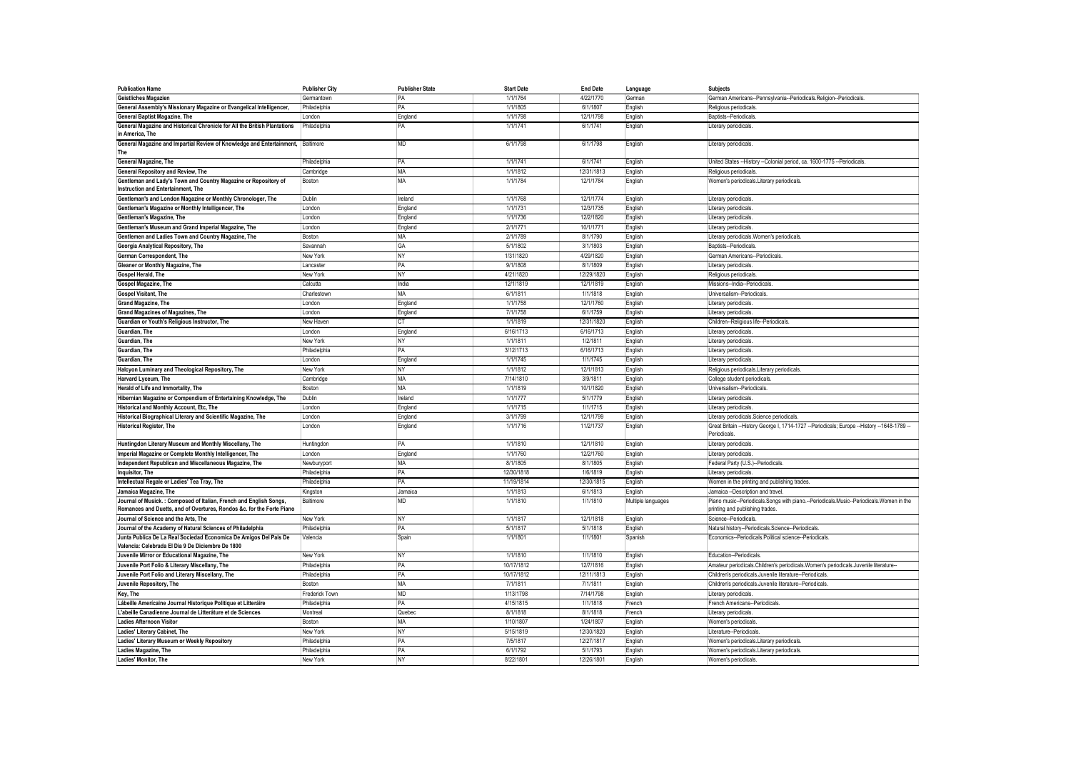| <b>Publication Name</b>                                                                                                | <b>Publisher City</b> | <b>Publisher State</b> | <b>Start Date</b> | <b>End Date</b> | Language           | <b>Subjects</b>                                                                                            |
|------------------------------------------------------------------------------------------------------------------------|-----------------------|------------------------|-------------------|-----------------|--------------------|------------------------------------------------------------------------------------------------------------|
| Geistliches Magazien                                                                                                   | Germantown            | PA                     | 1/1/1764          | 4/22/1770       | German             | German Americans--Pennsylvania--Periodicals.Religion--Periodicals                                          |
| General Assembly's Missionary Magazine or Evangelical Intelligencer,                                                   | Philadelphia          | PA                     | 1/1/1805          | 6/1/1807        | English            | Religious periodicals                                                                                      |
| <b>General Baptist Magazine, The</b>                                                                                   | I ondon               | England                | 1/1/1798          | 12/1/1798       | English            | Baptists-Periodicals                                                                                       |
| General Magazine and Historical Chronicle for All the British Plantations<br>in America, The                           | Philadelphia          | PA                     | 1/1/1741          | 6/1/1741        | English            | Literary periodicals.                                                                                      |
| General Magazine and Impartial Review of Knowledge and Entertainment, Baltimore<br>The                                 |                       | <b>MD</b>              | 6/1/1798          | 6/1/1798        | English            | Literary periodicals                                                                                       |
| General Magazine, The                                                                                                  | Philadelphia          | PA                     | 1/1/1741          | 6/1/1741        | English            | United States -- History -- Colonial period, ca. 1600-1775 -- Periodicals                                  |
| General Repository and Review, The                                                                                     | Cambridge             | <b>MA</b>              | 1/1/1812          | 12/31/1813      | English            | Religious periodicals                                                                                      |
| Gentleman and Lady's Town and Country Magazine or Repository of<br>Instruction and Entertainment, The                  | Boston                | <b>MA</b>              | 1/1/1784          | 12/1/1784       | English            | Women's periodicals.Literary periodicals.                                                                  |
| Gentleman's and London Magazine or Monthly Chronologer, The                                                            | Dublin                | Ireland                | 1/1/1768          | 12/1/1774       | English            | Literary periodicals                                                                                       |
| Gentleman's Magazine or Monthly Intelligencer, The                                                                     | London                | England                | 1/1/1731          | 12/3/1735       | English            | Literary periodicals                                                                                       |
| Gentleman's Magazine, The                                                                                              | London                | England                | 1/1/1736          | 12/2/1820       | English            | Literary periodicals                                                                                       |
| Gentleman's Museum and Grand Imperial Magazine, The                                                                    | London                | England                | 2/1/1771          | 10/1/1771       | English            | Literary periodicals                                                                                       |
| Gentlemen and Ladies Town and Country Magazine, The                                                                    | Boston                | MA                     | 2/1/1789          | 8/1/1790        | English            | Literary periodicals. Women's periodicals.                                                                 |
| Georgia Analytical Repository, The                                                                                     | Savannah              | GA                     | 5/1/1802          | 3/1/1803        | English            | Baptists-Periodicals                                                                                       |
| German Correspondent, The                                                                                              | New York              | <b>NY</b>              | 1/31/1820         | 4/29/1820       | English            | German Americans--Periodicals                                                                              |
| Gleaner or Monthly Magazine, The                                                                                       | Lancaster             | PA                     | 9/1/1808          | 8/1/1809        | English            | Literary periodicals                                                                                       |
| Gospel Herald, The                                                                                                     | New York              | <b>NY</b>              | 4/21/1820         | 12/29/1820      | English            | Religious periodicals                                                                                      |
| Gospel Magazine, The                                                                                                   | Calcutta              | India                  | 12/1/1819         | 12/1/1819       | English            | Missions--India--Periodicals                                                                               |
| <b>Gospel Visitant, The</b>                                                                                            | Charlestown           | <b>MA</b>              | 6/1/1811          | 1/1/1818        | English            | Universalism--Periodicals                                                                                  |
| <b>Grand Magazine, The</b>                                                                                             | London                | England                | 1/1/1758          | 12/1/1760       | English            | Literary periodicals                                                                                       |
| <b>Grand Magazines of Magazines. The</b>                                                                               | London                | England                | 7/1/1758          | 6/1/1759        | English            | Literary periodicals                                                                                       |
| Guardian or Youth's Religious Instructor, The                                                                          | New Haven             | <b>CT</b>              | 1/1/1819          | 12/31/1820      | English            | Children--Religious life--Periodicals                                                                      |
| Guardian, The                                                                                                          | London                | England                | 6/16/1713         | 6/16/1713       | English            | Literary periodicals                                                                                       |
| Guardian, The                                                                                                          | New York              | NY                     | 1/1/1811          | 1/2/1811        | English            | Literary periodicals                                                                                       |
| Guardian, The                                                                                                          | Philadelphia          | PA                     | 3/12/1713         | 6/16/1713       | English            | Literary periodicals                                                                                       |
| Guardian, The                                                                                                          | London                | England                | 1/1/1745          | 1/1/1745        | English            | Literary periodicals.                                                                                      |
| Halcyon Luminary and Theological Repository, The                                                                       | New York              | <b>NY</b>              | 1/1/1812          | 12/1/1813       | English            | Religious periodicals.Literary periodicals                                                                 |
| Harvard Lyceum, The                                                                                                    | Cambridge             | MA                     | 7/14/1810         | 3/9/1811        | English            | College student periodicals                                                                                |
| Herald of Life and Immortality, The                                                                                    | Boston                | <b>MA</b>              | 1/1/1819          | 10/1/1820       | English            | Universalism--Periodicals                                                                                  |
| Hibernian Magazine or Compendium of Entertaining Knowledge, The                                                        | Dublin                | Ireland                | 1/1/1777          | 5/1/1779        | English            | Literary periodicals                                                                                       |
| Historical and Monthly Account, Etc, The                                                                               | London                | England                | 1/1/1715          | 1/1/1715        | English            | Literary periodicals                                                                                       |
| Historical Biographical Literary and Scientific Magazine, The                                                          | London                | England                | 3/1/1799          | 12/1/1799       | English            | Literary periodicals.Science periodicals.                                                                  |
| <b>Historical Register, The</b>                                                                                        | London                | England                | 1/1/1716          | 11/2/1737       | English            | Great Britain -- History George I, 1714-1727 -- Periodicals; Europe -- History -- 1648-1789<br>Periodicals |
| Huntingdon Literary Museum and Monthly Miscellany, The                                                                 | Huntingdon            | PA                     | 1/1/1810          | 12/1/1810       | English            | Literary periodicals                                                                                       |
| Imperial Magazine or Complete Monthly Intelligencer, The                                                               | London                | England                | 1/1/1760          | 12/2/1760       | English            | Literary periodicals                                                                                       |
| Independent Republican and Miscellaneous Magazine, The                                                                 | Newburyport           | <b>MA</b>              | 8/1/1805          | 8/1/1805        | English            | Federal Party (U.S.)--Periodicals                                                                          |
| Inquisitor, The                                                                                                        | Philadelphia          | PA                     | 12/30/1818        | 1/6/1819        | English            | Literary periodicals                                                                                       |
| Intellectual Regale or Ladies' Tea Tray, The                                                                           | Philadelphia          | PA                     | 11/19/1814        | 12/30/1815      | English            | Women in the printing and publishing trades.                                                               |
| Jamaica Magazine, The                                                                                                  | Kingston              | Jamaica                | 1/1/1813          | 6/1/1813        | English            | Jamaica -- Description and travel.                                                                         |
| Journal of Musick.: Composed of Italian, French and English Songs.                                                     | Baltimore             | <b>MD</b>              | 1/1/1810          | 1/1/1810        | Multiple languages | Piano music--Periodicals.Songs with piano.--Periodicals.Music--Periodicals.Women in the                    |
| Romances and Duetts, and of Overtures, Rondos &c. for the Forte Piano                                                  |                       |                        |                   |                 |                    | printing and publishing trades.                                                                            |
| Journal of Science and the Arts. The                                                                                   | New York              | <b>NY</b>              | 1/1/1817          | 12/1/1818       | English            | Science-Periodicals                                                                                        |
| Journal of the Academy of Natural Sciences of Philadelphia                                                             | Philadelphia          | <b>PA</b>              | 5/1/1817          | 5/1/1818        | English            | Natural history--Periodicals.Science--Periodicals                                                          |
| Junta Publica De La Real Sociedad Economica De Amigos Del Pais De<br>Valencia: Celebrada El Dia 9 De Diciembre De 1800 | Valencia              | Spain                  | 1/1/1801          | 1/1/1801        | Spanish            | Economics--Periodicals.Political science--Periodicals.                                                     |
| Juvenile Mirror or Educational Magazine. The                                                                           | New York              | <b>NY</b>              | 1/1/1810          | 1/1/1810        | English            | Education--Periodicals                                                                                     |
| Juvenile Port Folio & Literary Miscellany, The                                                                         | Philadelphia          | PA                     | 10/17/1812        | 12/7/1816       | English            | Amateur periodicals. Children's periodicals. Women's periodicals. Juvenile literature-                     |
| Juvenile Port Folio and Literary Miscellany, The                                                                       | Philadelphia          | PA                     | 10/17/1812        | 12/11/1813      | English            | Children's periodicals.Juvenile literature--Periodicals                                                    |
| Juvenile Repository, The                                                                                               | Boston                | MA                     | 7/1/1811          | 7/1/1811        | English            | Children's periodicals.Juvenile literature--Periodicals                                                    |
| Key, The                                                                                                               | Frederick Town        | MD                     | 1/13/1798         | 7/14/1798       | English            | Literary periodicals                                                                                       |
| Lábeille Americaine Journal Historique Politique et Litteráire                                                         | Philadelphia          | PA                     | 4/15/1815         | 1/1/1818        | French             | French Americans--Periodicals                                                                              |
| L'abeille Canadienne Journal de Litteráture et de Sciences                                                             | Montreal              | Quebec                 | 8/1/1818          | 8/1/1818        | French             | Literary periodicals                                                                                       |
| <b>Ladies Afternoon Visitor</b>                                                                                        | Boston                | MA                     | 1/10/1807         | 1/24/1807       | English            | Women's periodicals                                                                                        |
| Ladies' Literary Cabinet. The                                                                                          | New York              | <b>NY</b>              | 5/15/1819         | 12/30/1820      | English            | Literature--Periodicals                                                                                    |
| Ladies' Literary Museum or Weekly Repository                                                                           | Philadelphia          | PA                     | 7/5/1817          | 12/27/1817      | English            | Women's periodicals. Literary periodicals                                                                  |
| Ladies Magazine, The                                                                                                   | Philadelphia          | <b>PA</b>              | 6/1/1792          | 5/1/1793        | English            | Women's periodicals. Literary periodicals                                                                  |
| Ladies' Monitor. The                                                                                                   | New York              | <b>NY</b>              | 8/22/1801         | 12/26/1801      | English            | Women's periodicals                                                                                        |
|                                                                                                                        |                       |                        |                   |                 |                    |                                                                                                            |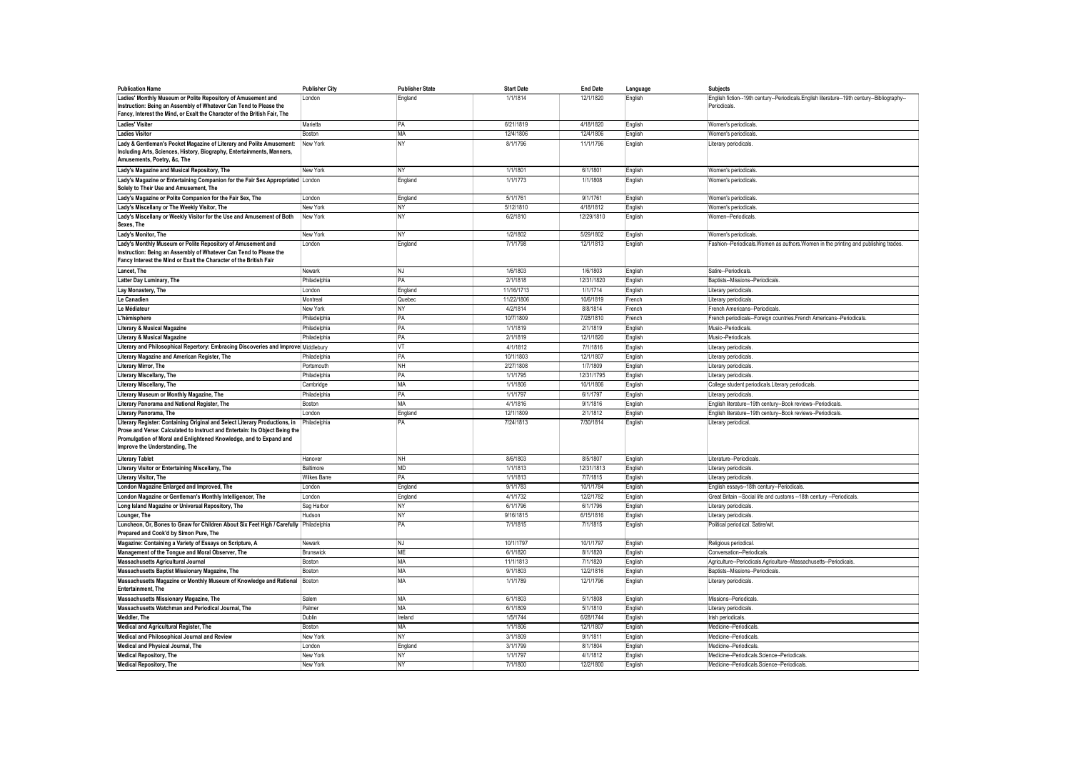| <b>Publication Name</b>                                                                                                                                                                                                                                           | <b>Publisher City</b> | <b>Publisher State</b> | <b>Start Date</b> | <b>End Date</b> | Language | <b>Subjects</b>                                                                                            |
|-------------------------------------------------------------------------------------------------------------------------------------------------------------------------------------------------------------------------------------------------------------------|-----------------------|------------------------|-------------------|-----------------|----------|------------------------------------------------------------------------------------------------------------|
| Ladies' Monthly Museum or Polite Repository of Amusement and<br>Instruction: Being an Assembly of Whatever Can Tend to Please the<br>Fancy, Interest the Mind, or Exalt the Character of the British Fair, The                                                    | London                | England                | 1/1/1814          | 12/1/1820       | English  | English fiction--19th century--Periodicals.English literature--19th century--Bibliography-<br>Periodicals. |
| <b>Ladies' Visiter</b>                                                                                                                                                                                                                                            | Marietta              | PA                     | 6/21/1819         | 4/18/1820       | English  | Women's periodicals                                                                                        |
| <b>Ladies Visitor</b>                                                                                                                                                                                                                                             | Boston                | <b>MA</b>              | 12/4/1806         | 12/4/1806       | English  | Women's periodicals                                                                                        |
| Lady & Gentleman's Pocket Magazine of Literary and Polite Amusement:<br>Including Arts, Sciences, History, Biography, Entertainments, Manners,<br>Amusements, Poetry, &c, The                                                                                     | New York              | NY                     | 8/1/1796          | 11/1/1796       | English  | Literary periodicals.                                                                                      |
| Lady's Magazine and Musical Repository, The                                                                                                                                                                                                                       | New York              | <b>NY</b>              | 1/1/1801          | 6/1/1801        | English  | Women's periodicals                                                                                        |
| Lady's Magazine or Entertaining Companion for the Fair Sex Appropriated London<br>Solely to Their Use and Amusement, The                                                                                                                                          |                       | England                | 1/1/1773          | 1/1/1808        | English  | Women's periodicals                                                                                        |
| Lady's Magazine or Polite Companion for the Fair Sex, The                                                                                                                                                                                                         | London                | England                | 5/1/1761          | 9/1/1761        | English  | Women's periodicals                                                                                        |
| Lady's Miscellany or The Weekly Visitor, The                                                                                                                                                                                                                      | New York              | NY                     | 5/12/1810         | 4/18/1812       | English  | Women's periodicals                                                                                        |
| Lady's Miscellany or Weekly Visitor for the Use and Amusement of Both<br>Sexes, The                                                                                                                                                                               | New York              | <b>NY</b>              | 6/2/1810          | 12/29/1810      | English  | Women-Periodicals.                                                                                         |
| Lady's Monitor, The                                                                                                                                                                                                                                               | New York              | NY                     | 1/2/1802          | 5/29/1802       | English  | Women's periodicals                                                                                        |
| Lady's Monthly Museum or Polite Repository of Amusement and<br>Instruction: Being an Assembly of Whatever Can Tend to Please the<br>Fancy Interest the Mind or Exalt the Character of the British Fair                                                            | London                | England                | 7/1/1798          | 12/1/1813       | English  | Fashion--Periodicals. Women as authors. Women in the printing and publishing trades                        |
| Lancet, The                                                                                                                                                                                                                                                       | Newark                | NJ                     | 1/6/1803          | 1/6/1803        | English  | Satire--Periodicals                                                                                        |
| Latter Day Luminary, The                                                                                                                                                                                                                                          | Philadelphia          | PA                     | 2/1/1818          | 12/31/1820      | English  | Baptists--Missions--Periodicals                                                                            |
| Lay Monastery, The                                                                                                                                                                                                                                                | London                | England                | 11/16/1713        | 1/1/1714        | English  | Literary periodicals                                                                                       |
| Le Canadien                                                                                                                                                                                                                                                       | Montreal              | Quebec                 | 11/22/1806        | 10/6/1819       | French   | Literary periodicals.                                                                                      |
| Le Médiateur                                                                                                                                                                                                                                                      | New York              | <b>NY</b>              | 4/2/1814          | 8/8/1814        | French   | French Americans--Periodicals                                                                              |
| L'hémisphere                                                                                                                                                                                                                                                      | Philadelphia          | PA                     | 10/7/1809         | 7/28/1810       | French   | French periodicals--Foreign countries.French Americans--Periodicals.                                       |
| <b>Literary &amp; Musical Magazine</b>                                                                                                                                                                                                                            | Philadelphia          | PA                     | 1/1/1819          | 2/1/1819        | English  | Music-Periodicals                                                                                          |
| <b>Literary &amp; Musical Magazine</b>                                                                                                                                                                                                                            | Philadelphia          | PA                     | 2/1/1819          | 12/1/1820       | English  | Music--Periodicals                                                                                         |
| Literary and Philosophical Repertory: Embracing Discoveries and Improve Middlebury                                                                                                                                                                                |                       | VT                     | 4/1/1812          | 7/1/1816        | English  | Literary periodicals                                                                                       |
| Literary Magazine and American Register, The                                                                                                                                                                                                                      | Philadelphia          | PA                     | 10/1/1803         | 12/1/1807       | English  | Literary periodicals                                                                                       |
| <b>Literary Mirror, The</b>                                                                                                                                                                                                                                       | Portsmouth            | <b>NH</b>              | 2/27/1808         | 1/7/1809        | English  | Literary periodicals                                                                                       |
| Literary Miscellany, The                                                                                                                                                                                                                                          | Philadelphia          | PA                     | 1/1/1795          | 12/31/1795      | English  | Literary periodicals                                                                                       |
| Literary Miscellany, The                                                                                                                                                                                                                                          | Cambridge             | MA                     | 1/1/1806          | 10/1/1806       | English  | College student periodicals. Literary periodicals                                                          |
| Literary Museum or Monthly Magazine, The                                                                                                                                                                                                                          | Philadelphia          | PA                     | 1/1/1797          | 6/1/1797        | English  | Literary periodicals                                                                                       |
| Literary Panorama and National Register, The                                                                                                                                                                                                                      | Boston                | MA                     | 4/1/1816          | 9/1/1816        | English  | English literature--19th century--Book reviews--Periodicals                                                |
| Literary Panorama, The                                                                                                                                                                                                                                            | London                | England                | 12/1/1809         | 2/1/1812        | English  | English literature--19th century--Book reviews--Periodicals                                                |
| Literary Register: Containing Original and Select Literary Productions, in<br>Prose and Verse: Calculated to Instruct and Entertain: Its Object Being the<br>Promulgation of Moral and Enlightened Knowledge, and to Expand and<br>Improve the Understanding, The | Philadelphia          | PA                     | 7/24/1813         | 7/30/1814       | English  | Literary periodical                                                                                        |
| <b>Literary Tablet</b>                                                                                                                                                                                                                                            | Hanover               | NH                     | 8/6/1803          | 8/5/1807        | English  | Literature--Periodicals                                                                                    |
| Literary Visitor or Entertaining Miscellany, The                                                                                                                                                                                                                  | Baltimore             | MD                     | 1/1/1813          | 12/31/1813      | English  | Literary periodicals.                                                                                      |
| Literary Visitor, The                                                                                                                                                                                                                                             | <b>Wilkes Barre</b>   | PA                     | 1/1/1813          | 7/7/1815        | English  | Literary periodicals.                                                                                      |
| London Magazine Enlarged and Improved, The                                                                                                                                                                                                                        | London                | England                | 9/1/1783          | 10/1/1784       | English  | English essays--18th century--Periodicals                                                                  |
| London Magazine or Gentleman's Monthly Intelligencer, The                                                                                                                                                                                                         | London                | England                | 4/1/1732          | 12/2/1782       | English  | Great Britain -- Social life and customs -- 18th century -- Periodicals                                    |
| Long Island Magazine or Universal Repository, The                                                                                                                                                                                                                 | Sag Harbor            | N٢                     | 6/1/1796          | 6/1/1796        | English  | Literary periodicals                                                                                       |
| Lounger, The                                                                                                                                                                                                                                                      | Hudson                | NY                     | 9/16/1815         | 6/15/1816       | English  | Literary periodicals                                                                                       |
| Luncheon, Or, Bones to Gnaw for Children About Six Feet High / Carefully Philadelphia<br>Prepared and Cook'd by Simon Pure, The                                                                                                                                   |                       | PA                     | 7/1/1815          | 7/1/1815        | English  | Political periodical. Satire/wit                                                                           |
| Magazine: Containing a Variety of Essays on Scripture, A                                                                                                                                                                                                          | Newark                | NJ                     | 10/1/1797         | 10/1/1797       | English  | Religious periodical                                                                                       |
| Management of the Tongue and Moral Observer, The                                                                                                                                                                                                                  | Brunswick             | <b>ME</b>              | 6/1/1820          | 8/1/1820        | English  | Conversation--Periodicals                                                                                  |
| Massachusetts Agricultural Journal                                                                                                                                                                                                                                | Boston                | MA                     | 11/1/1813         | 7/1/1820        | English  | Agriculture--Periodicals.Agriculture--Massachusetts--Periodicals                                           |
| Massachusetts Baptist Missionary Magazine, The                                                                                                                                                                                                                    | Boston                | <b>MA</b>              | 9/1/1803          | 12/2/1816       | English  | Baptists-Missions--Periodicals                                                                             |
| Massachusetts Magazine or Monthly Museum of Knowledge and Rational<br><b>Entertainment. The</b>                                                                                                                                                                   | Boston                | MA                     | 1/1/1789          | 12/1/1796       | English  | Literary periodicals.                                                                                      |
| Massachusetts Missionary Magazine, The                                                                                                                                                                                                                            | Salem                 | <b>MA</b>              | 6/1/1803          | 5/1/1808        | English  | Missions--Periodicals                                                                                      |
| Massachusetts Watchman and Periodical Journal. The                                                                                                                                                                                                                | Palmer                | <b>MA</b>              | 6/1/1809          | 5/1/1810        | English  | Literary periodicals                                                                                       |
| Meddler, The                                                                                                                                                                                                                                                      | Dublin                | Ireland                | 1/5/1744          | 6/28/1744       | English  | Irish periodicals                                                                                          |
| Medical and Agricultural Register, The                                                                                                                                                                                                                            | Boston                | MA                     | 1/1/1806          | 12/1/1807       | English  | Medicine-Periodicals.                                                                                      |
| Medical and Philosophical Journal and Review                                                                                                                                                                                                                      | New York              | NY                     | 3/1/1809          | 9/1/1811        | English  | Medicine-Periodicals                                                                                       |
| Medical and Physical Journal, The                                                                                                                                                                                                                                 | London                | England                | 3/1/1799          | 8/1/1804        | English  | Medicine--Periodicals                                                                                      |
| <b>Medical Repository, The</b>                                                                                                                                                                                                                                    | New York              | <b>NY</b>              | 1/1/1797          | 4/1/1812        | English  | Medicine--Periodicals.Science--Periodicals                                                                 |
| <b>Medical Repository. The</b>                                                                                                                                                                                                                                    | New York              | <b>NY</b>              | 7/1/1800          | 12/2/1800       | English  | Medicine--Periodicals.Science--Periodicals                                                                 |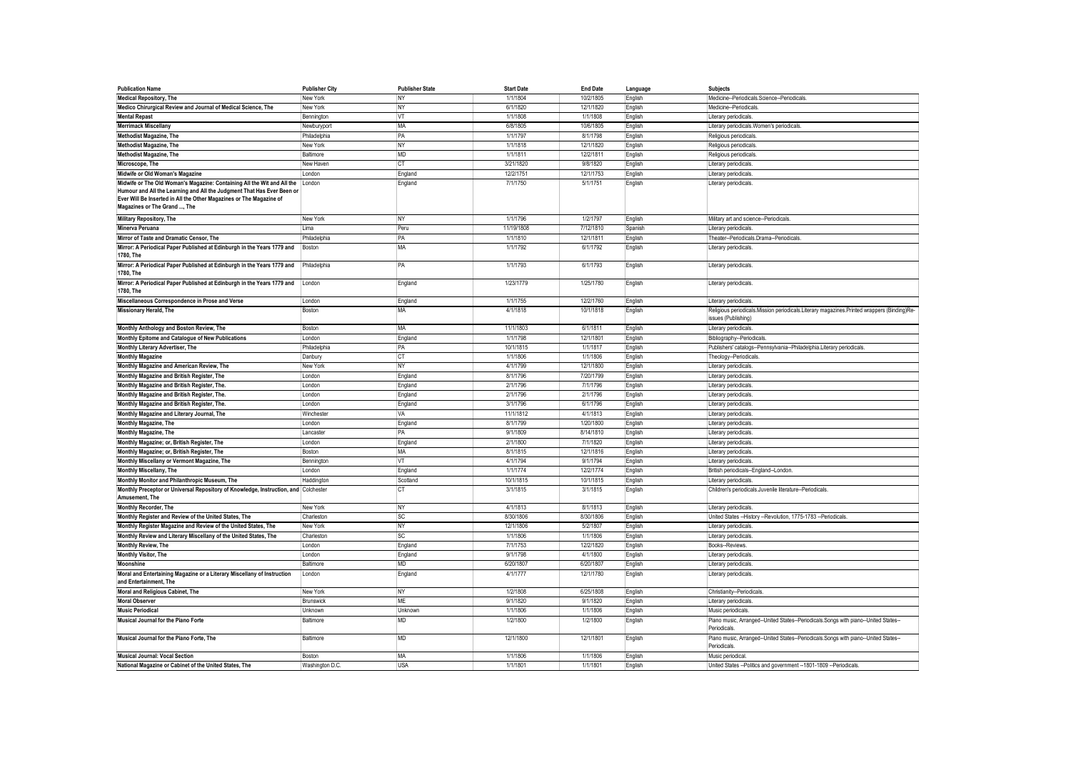| <b>Publication Name</b>                                                                               | <b>Publisher City</b> | <b>Publisher State</b> | <b>Start Date</b> | <b>End Date</b> | Language | <b>Subjects</b>                                                                                   |
|-------------------------------------------------------------------------------------------------------|-----------------------|------------------------|-------------------|-----------------|----------|---------------------------------------------------------------------------------------------------|
| <b>Medical Repository, The</b>                                                                        | New York              | <b>NY</b>              | 1/1/1804          | 10/2/1805       | English  | Medicine--Periodicals.Science--Periodicals                                                        |
| Medico Chirurgical Review and Journal of Medical Science, The                                         | New York              | NY                     | 6/1/1820          | 12/1/1820       | English  | Medicine-Periodicals.                                                                             |
| <b>Mental Repast</b>                                                                                  | Bennington            | <b>VT</b>              | 1/1/1808          | 1/1/1808        | English  | Literary periodicals                                                                              |
| <b>Merrimack Miscellany</b>                                                                           | Newburyport           | MA                     | 6/8/1805          | 10/6/1805       | English  | Literary periodicals. Women's periodicals                                                         |
| Methodist Magazine, The                                                                               | Philadelphia          | PA                     | 1/1/1797          | 8/1/1798        | English  | Religious periodicals                                                                             |
| <b>Methodist Magazine, The</b>                                                                        | New York              | NY                     | 1/1/1818          | 12/1/1820       | English  | Religious periodicals                                                                             |
| Methodist Magazine, The                                                                               | Baltimore             | <b>MD</b>              | 1/1/1811          | 12/2/1811       | English  | Religious periodicals                                                                             |
| Microscope, The                                                                                       | New Haven             | <b>CT</b>              | 3/21/1820         | 9/8/1820        | English  | Literary periodicals                                                                              |
| Midwife or Old Woman's Magazine                                                                       | London                | England                | 12/2/1751         | 12/1/1753       | English  | Literary periodicals                                                                              |
| Midwife or The Old Woman's Magazine: Containing All the Wit and All the                               | I ondor               | England                | 7/1/1750          | 5/1/1751        | English  | Literary periodicals                                                                              |
| Humour and All the Learning and All the Judgment That Has Ever Been or                                |                       |                        |                   |                 |          |                                                                                                   |
| Ever Will Be Inserted in All the Other Magazines or The Magazine of<br>Magazines or The Grand , The   |                       |                        |                   |                 |          |                                                                                                   |
| Military Repository, The                                                                              | New York              | NY                     | 1/1/1796          | 1/2/1797        | English  | Military art and science--Periodicals                                                             |
| Minerva Peruana                                                                                       | Lima                  | Peru                   | 11/19/1808        | 7/12/1810       | Spanish  | Literary periodicals                                                                              |
| Mirror of Taste and Dramatic Censor, The                                                              | Philadelphia          | PA                     | 1/1/1810          | 12/1/1811       | English  | Theater--Periodicals.Drama--Periodicals                                                           |
| Mirror: A Periodical Paper Published at Edinburgh in the Years 1779 and                               | Boston                | MA                     | 1/1/1792          | 6/1/1792        | English  | Literary periodicals.                                                                             |
| 1780, The                                                                                             |                       |                        |                   |                 |          |                                                                                                   |
| Mirror: A Periodical Paper Published at Edinburgh in the Years 1779 and<br>1780, The                  | Philadelphia          | PA                     | 1/1/1793          | 6/1/1793        | English  | Literary periodicals                                                                              |
| Mirror: A Periodical Paper Published at Edinburgh in the Years 1779 and<br>1780. The                  | London                | England                | 1/23/1779         | 1/25/1780       | English  | Literary periodicals.                                                                             |
| Miscellaneous Correspondence in Prose and Verse                                                       | London                | England                | 1/1/1755          | 12/2/1760       | English  | Literary periodicals.                                                                             |
| <b>Missionary Herald, The</b>                                                                         | Boston                | MA                     | 4/1/1818          | 10/1/1818       | English  | Religious periodicals.Mission periodicals.Literary magazines.Printed wrappers (Binding)Re-        |
|                                                                                                       |                       |                        |                   |                 |          | issues (Publishing)                                                                               |
| Monthly Anthology and Boston Review, The                                                              | Boston                | <b>MA</b>              | 11/1/1803         | 6/1/1811        | English  | Literary periodicals                                                                              |
| Monthly Epitome and Catalogue of New Publications                                                     | London                | England                | 1/1/1798          | 12/1/1801       | English  | Bibliography--Periodicals                                                                         |
| Monthly Literary Advertiser, The                                                                      | Philadelphia          | PA                     | 10/1/1815         | 1/1/1817        | English  | Publishers' catalogs--Pennsylvania--Philadelphia.Literary periodicals                             |
| <b>Monthly Magazine</b>                                                                               | Danbury               | <b>CT</b>              | 1/1/1806          | 1/1/1806        | English  | Theology--Periodicals                                                                             |
| Monthly Magazine and American Review, The                                                             | New York              | <b>NY</b>              | 4/1/1799          | 12/1/1800       | English  | Literary periodicals                                                                              |
| Monthly Magazine and British Register, The                                                            | London                | England                | 8/1/1796          | 7/20/1799       | English  | Literary periodicals                                                                              |
| Monthly Magazine and British Register, The.                                                           | London                | England                | 2/1/1796          | 7/1/1796        | English  | Literary periodicals                                                                              |
| Monthly Magazine and British Register, The.                                                           | London                | England                | 2/1/1796          | 2/1/1796        | English  | Literary periodicals                                                                              |
| Monthly Magazine and British Register, The.                                                           | London                | England                | 3/1/1796          | 6/1/1796        | English  | Literary periodicals                                                                              |
| Monthly Magazine and Literary Journal, The                                                            | Winchester            | VA                     | 11/1/1812         | 4/1/1813        | English  | Literary periodicals                                                                              |
| Monthly Magazine, The                                                                                 | London                | England                | 8/1/1799          | 1/20/1800       | English  | Literary periodicals                                                                              |
| Monthly Magazine, The                                                                                 | Lancaster             | PA                     | 9/1/1809          | 8/14/1810       | English  | Literary periodicals                                                                              |
| Monthly Magazine; or, British Register, The                                                           | London                | England                | 2/1/1800          | 7/1/1820        | English  | Literary periodicals                                                                              |
| Monthly Magazine; or, British Register, The                                                           | Boston                | MA                     | 8/1/1815          | 12/1/1816       | English  | Literary periodicals                                                                              |
| Monthly Miscellany or Vermont Magazine, The                                                           | Bennington            | <b>VT</b>              | 4/1/1794          | 9/1/1794        | English  | Literary periodicals                                                                              |
| Monthly Miscellany, The                                                                               | London                | England                | 1/1/1774          | 12/2/1774       | English  | British periodicals--England--London                                                              |
| Monthly Monitor and Philanthropic Museum, The                                                         | Haddington            | Scotland               | 10/1/1815         | 10/1/1815       | English  | Literary periodicals                                                                              |
| Monthly Preceptor or Universal Repository of Knowledge, Instruction, and Colchester<br>Amusement, The |                       | <b>CT</b>              | 3/1/1815          | 3/1/1815        | English  | Children's periodicals Juvenile literature--Periodicals                                           |
| Monthly Recorder, The                                                                                 | New York              | <b>NY</b>              | 4/1/1813          | 8/1/1813        | English  | Literary periodicals.                                                                             |
| Monthly Register and Review of the United States, The                                                 | Charleston            | <b>SC</b>              | 8/30/1806         | 8/30/1806       | English  | United States -- History -- Revolution, 1775-1783 -- Periodicals                                  |
| Monthly Register Magazine and Review of the United States, The                                        | New York              | NY                     | 12/1/1806         | 5/2/1807        | English  | Literary periodicals                                                                              |
| Monthly Review and Literary Miscellany of the United States, The                                      | Charleston            | <b>SC</b>              | 1/1/1806          | 1/1/1806        | English  | Literary periodicals                                                                              |
| Monthly Review, The                                                                                   | London                | England                | 7/1/1753          | 12/2/1820       | English  | Books--Reviews                                                                                    |
| Monthly Visitor, The                                                                                  | London                | England                | 9/1/1798          | 4/1/1800        | English  | Literary periodicals                                                                              |
| Moonshine                                                                                             | Baltimore             | <b>MD</b>              | 6/20/1807         | 6/20/1807       | English  | Literary periodicals                                                                              |
| Moral and Entertaining Magazine or a Literary Miscellany of Instruction<br>and Entertainment, The     | London                | England                | 4/1/1777          | 12/1/1780       | English  | Literary periodicals.                                                                             |
| Moral and Religious Cabinet, The                                                                      | New York              | NY                     | 1/2/1808          | 6/25/1808       | English  | Christianity--Periodicals                                                                         |
| <b>Moral Observer</b>                                                                                 | Brunswick             | ME                     | 9/1/1820          | 9/1/1820        | English  | Literary periodicals                                                                              |
| <b>Music Periodical</b>                                                                               | Unknown               | Unknown                | 1/1/1806          | 1/1/1806        | English  | Music periodicals.                                                                                |
| Musical Journal for the Piano Forte                                                                   | Baltimore             | <b>MD</b>              | 1/2/1800          | 1/2/1800        | English  | Piano music, Arranged--United States--Periodicals.Songs with piano--United States-                |
|                                                                                                       |                       |                        |                   |                 |          | Periodicals                                                                                       |
| Musical Journal for the Piano Forte, The                                                              | Baltimore             | MD                     | 12/1/1800         | 12/1/1801       | English  | Piano music, Arranged--United States--Periodicals.Songs with piano--United States-<br>Periodicals |
| <b>Musical Journal: Vocal Section</b>                                                                 | <b>Boston</b>         | <b>MA</b>              | 1/1/1806          | 1/1/1806        | English  | Music periodical                                                                                  |
| National Magazine or Cabinet of the United States, The                                                | Washington D.C.       | <b>USA</b>             | 1/1/1801          | 1/1/1801        | English  | United States -- Politics and government -- 1801-1809 -- Periodicals                              |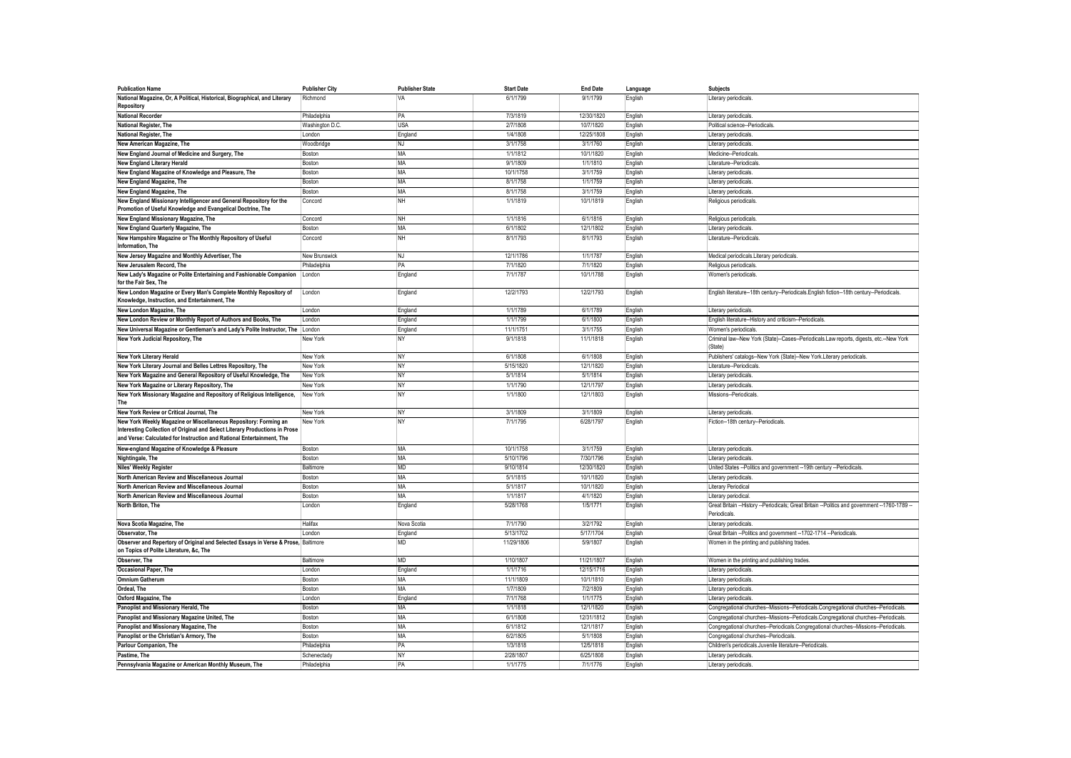| <b>Publication Name</b>                                                                                                                                                                                                  | <b>Publisher City</b> | <b>Publisher State</b> | <b>Start Date</b> | <b>End Date</b> | Language | <b>Subjects</b>                                                                                                 |
|--------------------------------------------------------------------------------------------------------------------------------------------------------------------------------------------------------------------------|-----------------------|------------------------|-------------------|-----------------|----------|-----------------------------------------------------------------------------------------------------------------|
| National Magazine, Or, A Political, Historical, Biographical, and Literary<br>Repository                                                                                                                                 | Richmond              | VA                     | 6/1/1799          | 9/1/1799        | English  | Literary periodicals                                                                                            |
| <b>National Recorder</b>                                                                                                                                                                                                 | Philadelphia          | PA                     | 7/3/1819          | 12/30/1820      | English  | Literary periodicals                                                                                            |
| National Register, The                                                                                                                                                                                                   | Washington D.C.       | <b>USA</b>             | 2/7/1808          | 10/7/1820       | English  | Political science--Periodicals                                                                                  |
| National Register, The                                                                                                                                                                                                   | London                | England                | 1/4/1808          | 12/25/1808      | English  | Literary periodicals                                                                                            |
| New American Magazine, The                                                                                                                                                                                               | Woodbridge            | NJ                     | 3/1/1758          | 3/1/1760        | English  | Literary periodicals                                                                                            |
| New England Journal of Medicine and Surgery, The                                                                                                                                                                         | Boston                | MA                     | 1/1/1812          | 10/1/1820       | English  | Medicine-Periodicals                                                                                            |
| New England Literary Herald                                                                                                                                                                                              | Boston                | MA                     | 9/1/1809          | 1/1/1810        | English  | Literature--Periodicals                                                                                         |
| New England Magazine of Knowledge and Pleasure, The                                                                                                                                                                      | Boston                | MA                     | 10/1/1758         | 3/1/1759        | English  | Literary periodicals                                                                                            |
| New England Magazine, The                                                                                                                                                                                                | Boston                | MA                     | 8/1/1758          | 1/1/1759        | English  | Literary periodicals                                                                                            |
| New England Magazine, The                                                                                                                                                                                                | Boston                | <b>MA</b>              | 8/1/1758          | 3/1/1759        | English  | Literary periodicals                                                                                            |
| New England Missionary Intelligencer and General Repository for the<br>Promotion of Useful Knowledge and Evangelical Doctrine, The                                                                                       | Concord               | <b>NH</b>              | 1/1/1819          | 10/1/1819       | English  | Religious periodicals                                                                                           |
| New England Missionary Magazine, The                                                                                                                                                                                     | Concord               | <b>NH</b>              | 1/1/1816          | 6/1/1816        | English  | Religious periodicals                                                                                           |
| New England Quarterly Magazine, The                                                                                                                                                                                      | Boston                | <b>MA</b>              | 6/1/1802          | 12/1/1802       | English  | Literary periodicals                                                                                            |
| New Hampshire Magazine or The Monthly Repository of Useful<br>Information, The                                                                                                                                           | Concord               | <b>NH</b>              | 8/1/1793          | 8/1/1793        | English  | Literature-Periodicals                                                                                          |
| New Jersey Magazine and Monthly Advertiser, The                                                                                                                                                                          | New Brunswick         | NJ.                    | 12/1/1786         | 1/1/1787        | English  | Medical periodicals.Literary periodicals                                                                        |
| New Jerusalem Record, The                                                                                                                                                                                                | Philadelphia          | PA                     | 7/1/1820          | 7/1/1820        | English  | Religious periodicals                                                                                           |
| New Lady's Magazine or Polite Entertaining and Fashionable Companion                                                                                                                                                     | London                | England                | 7/1/1787          | 10/1/1788       | English  | Women's periodicals.                                                                                            |
| for the Fair Sex, The                                                                                                                                                                                                    |                       |                        |                   |                 |          |                                                                                                                 |
| New London Magazine or Every Man's Complete Monthly Repository of<br>Knowledge, Instruction, and Entertainment, The                                                                                                      | London                | England                | 12/2/1793         | 12/2/1793       | English  | English literature--18th century--Periodicals.English fiction--18th century--Periodicals                        |
| New London Magazine, The                                                                                                                                                                                                 | London                | England                | 1/1/1789          | 6/1/1789        | English  | Literary periodicals.                                                                                           |
| New London Review or Monthly Report of Authors and Books, The                                                                                                                                                            | London                | England                | 1/1/1799          | 6/1/1800        | English  | English literature--History and criticism--Periodicals                                                          |
| New Universal Magazine or Gentleman's and Lady's Polite Instructor, The                                                                                                                                                  | London                | England                | 11/1/1751         | 3/1/1755        | English  | Women's periodicals                                                                                             |
| New York Judicial Repository, The                                                                                                                                                                                        | New York              | NY                     | 9/1/1818          | 11/1/1818       | English  | Criminal law--New York (State)--Cases--Periodicals.Law reports, digests, etc.--New York<br>(State)              |
| <b>New York Literary Herald</b>                                                                                                                                                                                          | New York              | NY                     | 6/1/1808          | 6/1/1808        | English  | Publishers' catalogs--New York (State)--New York.Literary periodicals                                           |
| New York Literary Journal and Belles Lettres Repository, The                                                                                                                                                             | New York              | <b>NY</b>              | 5/15/1820         | 12/1/1820       | English  | Literature--Periodicals                                                                                         |
| New York Magazine and General Repository of Useful Knowledge, The                                                                                                                                                        | New York              | <b>NY</b>              | 5/1/1814          | 5/1/1814        | English  | Literary periodicals                                                                                            |
| New York Magazine or Literary Repository, The                                                                                                                                                                            | New York              | <b>NY</b>              | 1/1/1790          | 12/1/1797       | English  | Literary periodicals                                                                                            |
| New York Missionary Magazine and Repository of Religious Intelligence,<br>The                                                                                                                                            | New York              | <b>NY</b>              | 1/1/1800          | 12/1/1803       | English  | Missions--Periodicals                                                                                           |
| New York Review or Critical Journal, The                                                                                                                                                                                 | New York              | NY                     | 3/1/1809          | 3/1/1809        | English  | Literary periodicals                                                                                            |
| New York Weekly Magazine or Miscellaneous Repository: Forming an<br>Interesting Collection of Original and Select Literary Productions in Prose<br>and Verse: Calculated for Instruction and Rational Entertainment, The | New York              | <b>NY</b>              | 7/1/1795          | 6/28/1797       | English  | Fiction--18th century--Periodicals                                                                              |
| New-england Magazine of Knowledge & Pleasure                                                                                                                                                                             | Boston                | MA                     | 10/1/1758         | 3/1/1759        | English  | Literary periodicals.                                                                                           |
| Nightingale, The                                                                                                                                                                                                         | Boston                | <b>MA</b>              | 5/10/1796         | 7/30/1796       | English  | Literary periodicals                                                                                            |
| Niles' Weekly Register                                                                                                                                                                                                   | Baltimore             | MD                     | 9/10/1814         | 12/30/1820      | English  | United States -- Politics and government -- 19th century -- Periodicals                                         |
| North American Review and Miscellaneous Journal                                                                                                                                                                          | Boston                | MA                     | 5/1/1815          | 10/1/1820       | English  | Literary periodicals                                                                                            |
| North American Review and Miscellaneous Journal                                                                                                                                                                          | Boston                | MA                     | 5/1/1817          | 10/1/1820       | English  | Literary Periodical                                                                                             |
| North American Review and Miscellaneous Journal                                                                                                                                                                          | Boston                | MA                     | 1/1/1817          | 4/1/1820        | English  | Literary periodical                                                                                             |
| North Briton, The                                                                                                                                                                                                        | London                | England                | 5/28/1768         | 1/5/1771        | English  | Great Britain -- History -- Periodicals; Great Britain -- Politics and government -- 1760-1789 -<br>Periodicals |
| Nova Scotia Magazine, The                                                                                                                                                                                                | Halifax               | Nova Scotia            | 7/1/1790          | 3/2/1792        | English  | Literary periodicals.                                                                                           |
| Observator, The                                                                                                                                                                                                          | London                | England                | 5/13/1702         | 5/17/1704       | English  | Great Britain -- Politics and government -- 1702-1714 -- Periodicals                                            |
| Observer and Repertory of Original and Selected Essays in Verse & Prose, Baltimore<br>on Topics of Polite Literature, &c, The                                                                                            |                       | <b>MD</b>              | 11/29/1806        | 5/9/1807        | English  | Women in the printing and publishing trades                                                                     |
| Observer. The                                                                                                                                                                                                            | Baltimore             | <b>MD</b>              | 1/10/1807         | 11/21/1807      | English  | Women in the printing and publishing trades.                                                                    |
| Occasional Paper, The                                                                                                                                                                                                    | London                | England                | 1/1/1716          | 12/15/1716      | English  | Literary periodicals                                                                                            |
| <b>Omnium Gatherum</b>                                                                                                                                                                                                   | Boston                | MA                     | 11/1/1809         | 10/1/1810       | English  | Literary periodicals                                                                                            |
| Ordeal, The                                                                                                                                                                                                              | Boston                | MA                     | 1/7/1809          | 7/2/1809        | English  | Literary periodicals                                                                                            |
| Oxford Magazine, The                                                                                                                                                                                                     | London                | England                | 7/1/1768          | 1/1/1775        | English  | Literary periodicals                                                                                            |
| Panoplist and Missionary Herald, The                                                                                                                                                                                     | Boston                | <b>MA</b>              | 1/1/1818          | 12/1/1820       | English  | Congregational churches--Missions--Periodicals.Congregational churches--Periodicals                             |
| Panoplist and Missionary Magazine United, The                                                                                                                                                                            | Boston                | <b>MA</b>              | 6/1/1808          | 12/31/1812      | English  | Congregational churches--Missions--Periodicals.Congregational churches--Periodicals                             |
| Panoplist and Missionary Magazine, The                                                                                                                                                                                   | Boston                | MA                     | 6/1/1812          | 12/1/1817       | English  | Congregational churches--Periodicals.Congregational churches--Missions--Periodicals                             |
| Panoplist or the Christian's Armory, The                                                                                                                                                                                 | Boston                | MA                     | 6/2/1805          | 5/1/1808        | English  | Congregational churches--Periodicals                                                                            |
| <b>Parlour Companion. The</b>                                                                                                                                                                                            | Philadelphia          | <b>PA</b>              | 1/3/1818          | 12/5/1818       | English  | Children's periodicals.Juvenile literature--Periodicals                                                         |
| Pastime, The                                                                                                                                                                                                             | Schenectady           | NY                     | 2/28/1807         | 6/25/1808       | English  | Literary periodicals.                                                                                           |
| Pennsylvania Magazine or American Monthly Museum, The                                                                                                                                                                    | Philadelphia          | PA                     | 1/1/1775          | 7/1/1776        | English  | Literary periodicals                                                                                            |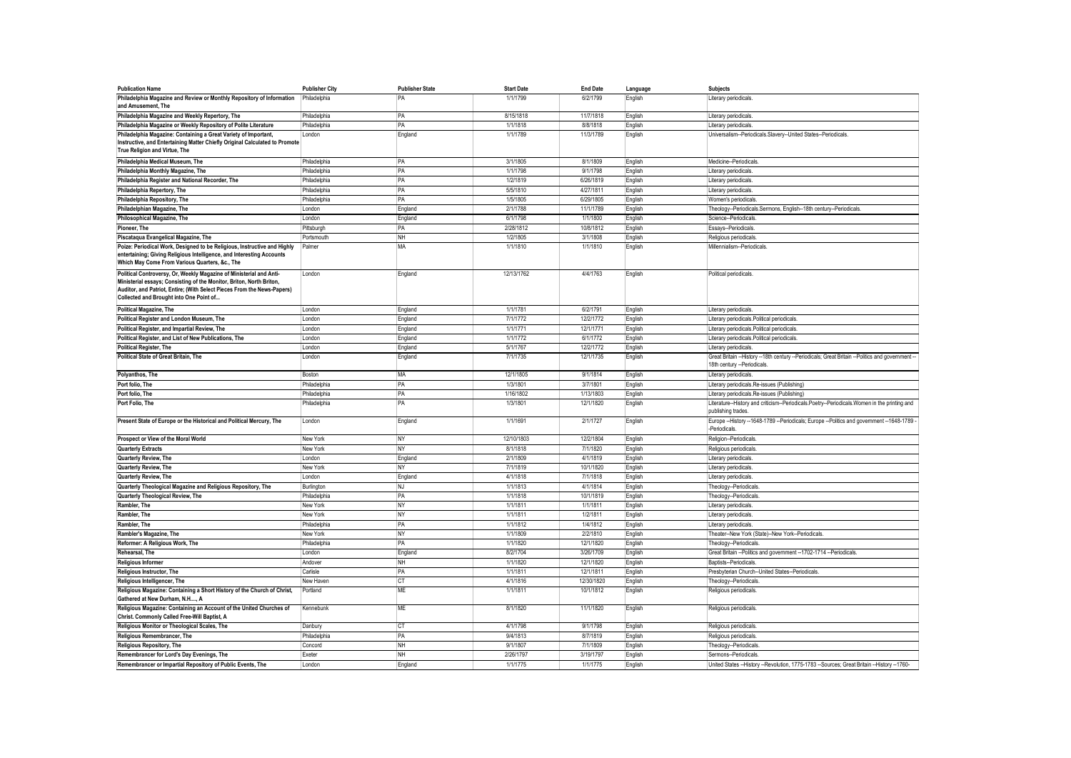| <b>Publication Name</b>                                                                                                                                                                                                                                           | <b>Publisher City</b> | <b>Publisher State</b> | <b>Start Date</b>    | <b>End Date</b>         | Language | <b>Subjects</b>                                                                                                              |
|-------------------------------------------------------------------------------------------------------------------------------------------------------------------------------------------------------------------------------------------------------------------|-----------------------|------------------------|----------------------|-------------------------|----------|------------------------------------------------------------------------------------------------------------------------------|
| Philadelphia Magazine and Review or Monthly Repository of Information<br>and Amusement, The                                                                                                                                                                       | Philadelphia          | PA                     | 1/1/1799             | 6/2/1799                | English  | Literary periodicals.                                                                                                        |
| Philadelphia Magazine and Weekly Repertory, The                                                                                                                                                                                                                   | Philadelphia          | PA                     | 8/15/1818            | 11/7/1818               | English  | Literary periodicals                                                                                                         |
| Philadelphia Magazine or Weekly Repository of Polite Literature                                                                                                                                                                                                   | Philadelphia          | PA                     | 1/1/1818             | 8/8/1818                | English  | Literary periodicals                                                                                                         |
| Philadelphia Magazine: Containing a Great Variety of Important,<br>Instructive, and Entertaining Matter Chiefly Original Calculated to Promote<br>True Religion and Virtue, The                                                                                   | London                | England                | 1/1/1789             | 11/3/1789               | English  | Universalism--Periodicals.Slavery--United States--Periodicals                                                                |
| Philadelphia Medical Museum, The                                                                                                                                                                                                                                  | Philadelphia          | PA                     | 3/1/1805             | 8/1/1809                | English  | Medicine--Periodicals                                                                                                        |
| Philadelphia Monthly Magazine, The                                                                                                                                                                                                                                | Philadelphia          | PA                     | 1/1/1798             | 9/1/1798                | English  | Literary periodicals                                                                                                         |
| Philadelphia Register and National Recorder, The                                                                                                                                                                                                                  | Philadelphia          | PA                     | 1/2/1819             | 6/26/1819               | English  | Literary periodicals.                                                                                                        |
| Philadelphia Repertory, The                                                                                                                                                                                                                                       | Philadelphia          | PA                     | 5/5/1810             | 4/27/1811               | English  | Literary periodicals                                                                                                         |
| Philadelphia Repository, The                                                                                                                                                                                                                                      | Philadelphia          | PA                     | 1/5/1805             | 6/29/1805               | English  | Women's periodicals                                                                                                          |
| Philadelphian Magazine, The                                                                                                                                                                                                                                       | London                | England                | 2/1/1788             | 11/1/1789               | English  | Theology--Periodicals.Sermons, English--18th century--Periodicals                                                            |
| Philosophical Magazine, The                                                                                                                                                                                                                                       | London                | England                | 6/1/1798             | 1/1/1800                | English  | Science--Periodicals                                                                                                         |
| Pioneer. The                                                                                                                                                                                                                                                      | Pittsburgh            | PA                     | 2/28/1812            | 10/8/1812               | English  | Essavs--Periodicals                                                                                                          |
| Piscataqua Evangelical Magazine, The                                                                                                                                                                                                                              | Portsmouth            | <b>NH</b>              | 1/2/1805             | 3/1/1808                | English  | Religious periodicals                                                                                                        |
| Poize: Periodical Work, Designed to be Religious, Instructive and Highly<br>entertaining; Giving Religious Intelligence, and Interesting Accounts<br>Which May Come From Various Quarters, &c., The                                                               | Palmer                | MA                     | 1/1/1810             | 1/1/1810                | English  | Millennialism--Periodicals.                                                                                                  |
| Political Controversy, Or, Weekly Magazine of Ministerial and Anti-<br>Ministerial essays; Consisting of the Monitor, Briton, North Briton,<br>Auditor, and Patriot, Entire; (With Select Pieces From the News-Papers)<br>Collected and Brought into One Point of | London                | England                | 12/13/1762           | 4/4/1763                | English  | Political periodicals.                                                                                                       |
| <b>Political Magazine, The</b>                                                                                                                                                                                                                                    | London                | England                | 1/1/1781             | 6/2/1791                | English  | Literary periodicals                                                                                                         |
| Political Register and London Museum, The                                                                                                                                                                                                                         | London                | England                | 7/1/1772             | 12/2/1772               | English  | Literary periodicals.Political periodicals                                                                                   |
| Political Register, and Impartial Review, The                                                                                                                                                                                                                     | London                | England                | 1/1/1771             | 12/1/1771               | English  | Literary periodicals.Political periodicals                                                                                   |
| Political Register, and List of New Publications, The                                                                                                                                                                                                             | London                | England                | 1/1/1772             | 6/1/1772                | English  | Literary periodicals.Political periodicals                                                                                   |
| <b>Political Register, The</b>                                                                                                                                                                                                                                    | London                | England                | 5/1/1767             | 12/2/1772               | English  | Literary periodicals                                                                                                         |
| Political State of Great Britain, The                                                                                                                                                                                                                             | I ondon               | England                | 7/1/1735             | 12/1/1735               | English  | Great Britain --History --18th century --Periodicals; Great Britain --Politics and government<br>18th century --Periodicals. |
| Polyanthos, The                                                                                                                                                                                                                                                   | Boston                | MA                     | 12/1/1805            | 9/1/1814                | English  | Literary periodicals                                                                                                         |
| Port folio. The                                                                                                                                                                                                                                                   | Philadelphia          | PA                     | 1/3/1801             | 3/7/1801                | English  | Literary periodicals.Re-issues (Publishing)                                                                                  |
| Port folio, The                                                                                                                                                                                                                                                   | Philadelphia          | PA                     | 1/16/1802            | 1/13/1803               | English  | Literary periodicals.Re-issues (Publishing)                                                                                  |
| Port Folio, The                                                                                                                                                                                                                                                   | Philadelphia          | PA                     | 1/3/1801             | 12/1/1820               | English  | Literature-History and criticism--Periodicals.Poetry--Periodicals.Women in the printing and<br>publishing trades.            |
| Present State of Europe or the Historical and Political Mercury, The                                                                                                                                                                                              | London                | England                | 1/1/1691             | 2/1/1727                | English  | Europe -- History --1648-1789 -- Periodicals; Europe -- Politics and government -- 1648-1789<br>-Periodicals                 |
| Prospect or View of the Moral World                                                                                                                                                                                                                               | New York              | NY                     | 12/10/1803           | 12/2/1804               | English  | Religion--Periodicals                                                                                                        |
| <b>Quarterly Extracts</b>                                                                                                                                                                                                                                         | New York              | NY                     | 8/1/1818             | 7/1/1820                | English  | Religious periodicals                                                                                                        |
| Quarterly Review, The                                                                                                                                                                                                                                             | London                | England                | 2/1/1809             | 4/1/1819                | English  | Literary periodicals                                                                                                         |
| Quarterly Review, The                                                                                                                                                                                                                                             | New York              | NY                     | 7/1/1819             | 10/1/1820               | English  | Literary periodicals                                                                                                         |
| Quarterly Review, The                                                                                                                                                                                                                                             | London                | England                | 4/1/1818             | 7/1/1818                | English  | Literary periodicals                                                                                                         |
| Quarterly Theological Magazine and Religious Repository, The                                                                                                                                                                                                      | Burlington            | <b>NJ</b>              | 1/1/1813             | 4/1/1814                | English  | Theology--Periodicals                                                                                                        |
| Quarterly Theological Review, The                                                                                                                                                                                                                                 | Philadelphia          | PA                     | 1/1/1818             | 10/1/1819               | English  | Theology--Periodicals                                                                                                        |
| Rambler. The                                                                                                                                                                                                                                                      | New York              | <b>NY</b>              | 1/1/1811             | 1/1/1811                | English  | Literary periodicals                                                                                                         |
| Rambler, The                                                                                                                                                                                                                                                      | New York              | NY                     | 1/1/1811             | 1/2/1811                | English  | Literary periodicals                                                                                                         |
| Rambler, The                                                                                                                                                                                                                                                      | Philadelphia          | PA                     | 1/1/1812             | 1/4/1812                | English  | Literary periodicals                                                                                                         |
| Rambler's Magazine, The                                                                                                                                                                                                                                           | New York              | <b>NY</b>              | 1/1/1809             | 2/2/1810                | English  | Theater--New York (State)--New York--Periodicals                                                                             |
| Reformer: A Religious Work, The<br>Rehearsal, The                                                                                                                                                                                                                 | Philadelphia          | PA                     | 1/1/1820<br>8/2/1704 | 12/1/1820               | English  | Theology--Periodicals                                                                                                        |
|                                                                                                                                                                                                                                                                   | I ondon               | England                | 1/1/1820             | 3/26/1709               | English  | Great Britain -- Politics and government -- 1702-1714 -- Periodicals                                                         |
| <b>Religious Informer</b>                                                                                                                                                                                                                                         | Andover               | NH                     |                      | 12/1/1820               | English  | Baptists-Periodicals                                                                                                         |
| Religious Instructor, The                                                                                                                                                                                                                                         | Carlisle              | PA                     | 1/1/1811             | 12/1/1811               | English  | Presbyterian Church--United States--Periodicals                                                                              |
| Religious Intelligencer, The                                                                                                                                                                                                                                      | New Haven             | <b>CT</b><br><b>ME</b> | 4/1/1816<br>1/1/1811 | 12/30/1820<br>10/1/1812 | English  | Theology--Periodicals                                                                                                        |
| Religious Magazine: Containing a Short History of the Church of Christ,<br>Gathered at New Durham, N.H, A                                                                                                                                                         | Portland              |                        |                      |                         | English  | Religious periodicals                                                                                                        |
| Religious Magazine: Containing an Account of the United Churches of<br>Christ. Commonly Called Free-Will Baptist, A                                                                                                                                               | Kennebunk             | ME                     | 8/1/1820             | 11/1/1820               | English  | Religious periodicals                                                                                                        |
| Religious Monitor or Theological Scales, The                                                                                                                                                                                                                      | Danbury               | <b>CT</b>              | 4/1/1798             | 9/1/1798                | English  | Religious periodicals                                                                                                        |
| Religious Remembrancer, The                                                                                                                                                                                                                                       | Philadelphia          | PA                     | 9/4/1813             | 8/7/1819                | English  | Religious periodicals                                                                                                        |
| Religious Repository, The                                                                                                                                                                                                                                         | Concord               | <b>NH</b>              | 9/1/1807             | 7/1/1809                | English  | Theology--Periodicals                                                                                                        |
| Remembrancer for Lord's Day Evenings, The                                                                                                                                                                                                                         | Fxeter                | NH                     | 2/26/1797            | 3/19/1797               | English  | Sermons--Periodicals.                                                                                                        |
| Remembrancer or Impartial Repository of Public Events, The                                                                                                                                                                                                        | London                | England                | 1/1/1775             | 1/1/1775                | English  | United States -- History -- Revolution, 1775-1783 -- Sources; Great Britain -- History -- 1760-                              |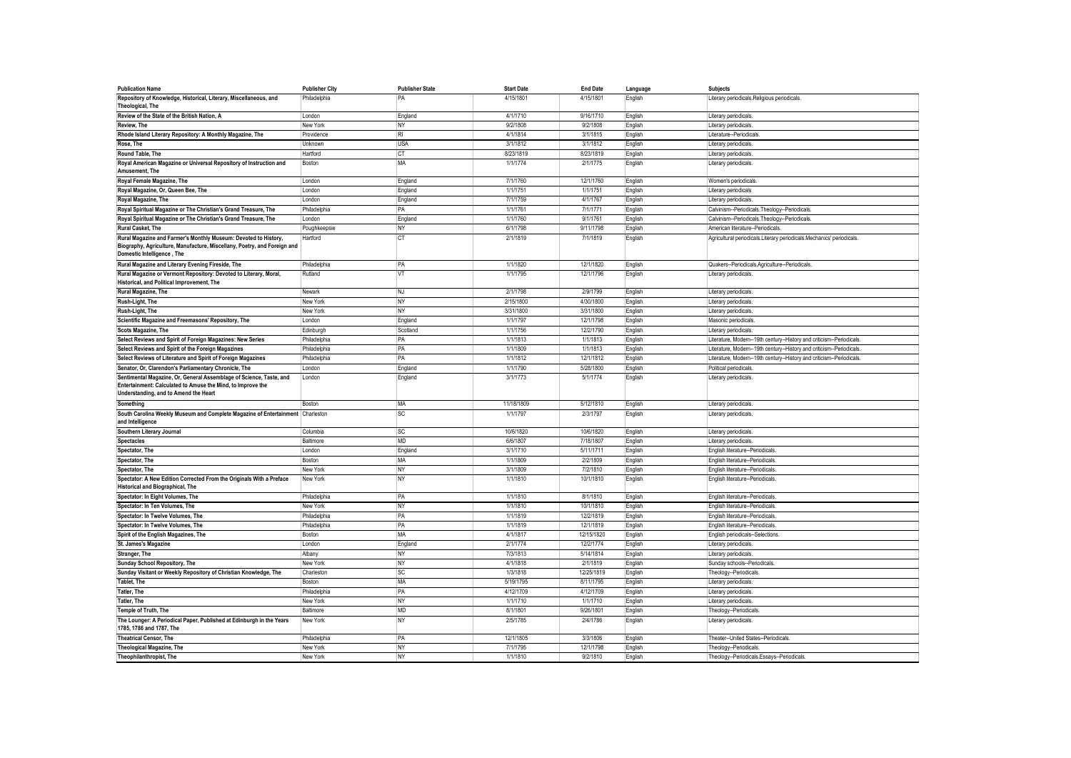| <b>Publication Name</b>                                                                                                                                                   | <b>Publisher City</b> | <b>Publisher State</b> | <b>Start Date</b>      | <b>End Date</b>       | Language | <b>Subjects</b>                                                       |
|---------------------------------------------------------------------------------------------------------------------------------------------------------------------------|-----------------------|------------------------|------------------------|-----------------------|----------|-----------------------------------------------------------------------|
| Repository of Knowledge, Historical, Literary, Miscellaneous, and                                                                                                         | Philadelphia          | PA                     | 4/15/1801              | 4/15/1801             | English  | Literary periodicals.Religious periodicals                            |
| Theological, The                                                                                                                                                          |                       |                        |                        |                       |          |                                                                       |
| Review of the State of the British Nation, A                                                                                                                              | London                | England                | 4/1/1710               | 9/16/1710             | English  | Literary periodicals.                                                 |
| Review, The                                                                                                                                                               | New York              | NY                     | 9/2/1808               | 9/2/1808              | English  | Literary periodicals                                                  |
| Rhode Island Literary Repository: A Monthly Magazine, The                                                                                                                 | Providence            | RI                     | 4/1/1814               | 3/1/1815              | English  | Literature--Periodicals                                               |
| Rose, The                                                                                                                                                                 | Unknown               | <b>USA</b>             | 3/1/1812               | 3/1/1812              | English  | Literary periodicals                                                  |
| Round Table, The                                                                                                                                                          | Hartford              | <b>CT</b>              | 8/23/1819              | 8/23/1819             | English  | Literary periodicals                                                  |
| Royal American Magazine or Universal Repository of Instruction and                                                                                                        | Boston                | MA                     | 1/1/1774               | 2/1/1775              | English  | Literary periodicals.                                                 |
| Amusement, The                                                                                                                                                            |                       |                        |                        |                       |          |                                                                       |
| Royal Female Magazine, The                                                                                                                                                | London                | England                | 7/1/1760               | 12/1/1760             | English  | Women's periodicals                                                   |
| Royal Magazine, Or, Queen Bee, The                                                                                                                                        | London                | England                | 1/1/1751               | 1/1/1751              | English  | Literary periodicals                                                  |
| Royal Magazine, The                                                                                                                                                       | London                | England                | 7/1/1759               | 4/1/1767              | English  | Literary periodicals                                                  |
| Royal Spiritual Magazine or The Christian's Grand Treasure, The                                                                                                           | Philadelphia          | PA                     | 1/1/1761               | 7/1/1771              | English  | Calvinism--Periodicals.Theology--Periodicals                          |
| Royal Spiritual Magazine or The Christian's Grand Treasure, The                                                                                                           | London                | England                | 1/1/1760               | 9/1/1761              | English  | Calvinism--Periodicals.Theology--Periodicals                          |
| <b>Rural Casket, The</b>                                                                                                                                                  | Poughkeepsie          | NY                     | 6/1/1798               | 9/11/1798             | English  | American literature--Periodicals                                      |
| Rural Magazine and Farmer's Monthly Museum: Devoted to History,<br>Biography, Agriculture, Manufacture, Miscellany, Poetry, and Foreign and<br>Domestic Intelligence, The | Hartford              | <b>CT</b>              | 2/1/1819               | 7/1/1819              | English  | Agricultural periodicals.Literary periodicals.Mechanics' periodicals  |
| Rural Magazine and Literary Evening Fireside, The                                                                                                                         | Philadelphia          | PA                     | 1/1/1820               | 12/1/1820             | English  | Quakers--Periodicals.Agriculture--Periodicals                         |
| Rural Magazine or Vermont Repository: Devoted to Literary, Moral,                                                                                                         | Rutland               | VT                     | 1/1/1795               | 12/1/1796             | English  | Literary periodicals                                                  |
| Historical, and Political Improvement, The                                                                                                                                |                       |                        |                        |                       |          |                                                                       |
| Rural Magazine, The                                                                                                                                                       | Newark                | NJ                     | 2/1/1798               | 2/9/1799              | English  | Literary periodicals                                                  |
| Rush-Light, The                                                                                                                                                           | New York              | <b>NY</b>              | 2/15/1800              | 4/30/1800             | English  | Literary periodicals                                                  |
| Rush-Light, The                                                                                                                                                           | New York              | NY                     | 3/31/1800              | 3/31/1800             | English  | Literary periodicals                                                  |
| Scientific Magazine and Freemasons' Repository, The                                                                                                                       | London                | England                | 1/1/1797               | 12/1/1798             | English  | Masonic periodicals                                                   |
| <b>Scots Magazine. The</b>                                                                                                                                                | Edinburgh             | Scotland               | 1/1/1756               | 12/2/1790             | English  | Literary periodicals                                                  |
| Select Reviews and Spirit of Foreign Magazines: New Series                                                                                                                | Philadelphia          | PA                     | 1/1/1813               | 1/1/1813              | English  | Literature, Modern--19th century--History and criticism--Periodicals. |
| Select Reviews and Spirit of the Foreign Magazines                                                                                                                        | Philadelphia          | PA                     | 1/1/1809               | 1/1/1813              | English  | Literature, Modern--19th century--History and criticism--Periodicals. |
| Select Reviews of Literature and Spirit of Foreign Magazines                                                                                                              | Philadelphia          | PA                     | 1/1/1812               | 12/1/1812             | English  | Literature, Modern--19th century--History and criticism--Periodicals  |
| Senator, Or, Clarendon's Parliamentary Chronicle, The                                                                                                                     | London                | England                | 1/1/1790               | 5/28/1800             | English  | Political periodicals                                                 |
| Sentimental Magazine, Or, General Assemblage of Science, Taste, and<br>Entertainment: Calculated to Amuse the Mind, to Improve the                                        | London                | England                | 3/1/1773               | 5/1/1774              | English  | Literary periodicals                                                  |
| Understanding, and to Amend the Heart                                                                                                                                     |                       |                        |                        |                       |          |                                                                       |
|                                                                                                                                                                           |                       |                        |                        |                       |          |                                                                       |
| Something                                                                                                                                                                 | Boston                | MA<br><b>SC</b>        | 11/18/1809<br>1/1/1797 | 5/12/1810<br>2/3/1797 | English  | Literary periodicals                                                  |
| South Carolina Weekly Museum and Complete Magazine of Entertainment Charleston<br>and Intelligence                                                                        |                       |                        |                        |                       | English  | Literary periodicals.                                                 |
| Southern Literary Journal                                                                                                                                                 | Columbia              | <b>SC</b>              | 10/6/1820              | 10/6/1820             | English  | Literary periodicals                                                  |
| <b>Spectacles</b>                                                                                                                                                         | Baltimore             | MD                     | 6/6/1807               | 7/18/1807             | English  | Literary periodicals                                                  |
| Spectator, The                                                                                                                                                            | London                | England                | 3/1/1710               | 5/11/1711             | English  | English literature--Periodicals                                       |
| Spectator, The                                                                                                                                                            | Boston                | MA                     | 1/1/1809               | 2/2/1809              | English  | English literature--Periodicals                                       |
| Spectator, The                                                                                                                                                            | New York              | NY                     | 3/1/1809               | 7/2/1810              | English  | English literature--Periodicals                                       |
| Spectator: A New Edition Corrected From the Originals With a Preface                                                                                                      | New York              | <b>NY</b>              | 1/1/1810               | 10/1/1810             | English  | English literature--Periodicals                                       |
| Historical and Biographical, The                                                                                                                                          |                       |                        |                        |                       |          |                                                                       |
| Spectator: In Eight Volumes, The                                                                                                                                          | Philadelphia          | PA                     | 1/1/1810               | 8/1/1810              | English  | English literature--Periodicals                                       |
| Spectator: In Ten Volumes, The                                                                                                                                            | New York              | <b>NY</b>              | 1/1/1810               | 10/1/1810             | English  | English literature--Periodicals                                       |
| Spectator: In Twelve Volumes, The                                                                                                                                         | Philadelphia          | PA                     | 1/1/1819               | 12/2/1819             | English  | English literature--Periodicals                                       |
| Spectator: In Twelve Volumes, The                                                                                                                                         | Philadelphia          | PA                     | 1/1/1819               | 12/1/1819             | English  | English literature--Periodicals                                       |
| Spirit of the English Magazines, The                                                                                                                                      | Boston                | <b>MA</b>              | 4/1/1817               | 12/15/1820            | English  | English periodicals--Selections                                       |
| St. James's Magazine                                                                                                                                                      | London                | England                | 2/1/1774               | 12/2/1774             | English  | Literary periodicals                                                  |
| Stranger, The                                                                                                                                                             | Albany                | <b>NY</b>              | 7/3/1813               | 5/14/1814             | English  | Literary periodicals                                                  |
| Sunday School Repository, The                                                                                                                                             | New York              | <b>NY</b>              | 4/1/1818               | 2/1/1819              | English  | Sunday schools--Periodicals                                           |
| Sunday Visitant or Weekly Repository of Christian Knowledge, The                                                                                                          | Charleston            | <b>SC</b>              | 1/3/1818               | 12/25/1819            | English  | Theology--Periodicals                                                 |
| <b>Tablet, The</b>                                                                                                                                                        | Boston                | MA                     | 5/19/1795              | 8/11/1795             | English  | Literary periodicals                                                  |
| <b>Tatler, The</b>                                                                                                                                                        | Philadelphia          | PA                     | 4/12/1709              | 4/12/1709             | English  | Literary periodicals                                                  |
| <b>Tatler, The</b>                                                                                                                                                        | New York              | <b>NY</b>              | 1/1/1710               | 1/1/1710              | English  | Literary periodicals                                                  |
| Temple of Truth, The                                                                                                                                                      | Baltimore             | <b>MD</b>              | 8/1/1801               | 9/26/1801             | English  | Theology--Periodicals                                                 |
| The Lounger: A Periodical Paper, Published at Edinburgh in the Years<br>1785, 1786 and 1787, The                                                                          | New York              | NY                     | 2/5/1785               | 2/4/1786              | English  | Literary periodicals.                                                 |
| <b>Theatrical Censor, The</b>                                                                                                                                             | Philadelphia          | PA                     | 12/1/1805              | 3/3/1806              | English  | Theater--United States--Periodicals.                                  |
| Theological Magazine, The                                                                                                                                                 | New York              | NY                     | 7/1/1795               | 12/1/1798             | English  | Theology--Periodicals.                                                |
| Theophilanthropist, The                                                                                                                                                   | New York              | <b>NY</b>              | 1/1/1810               | 9/2/1810              | English  | Theology--Periodicals.Essays--Periodicals                             |